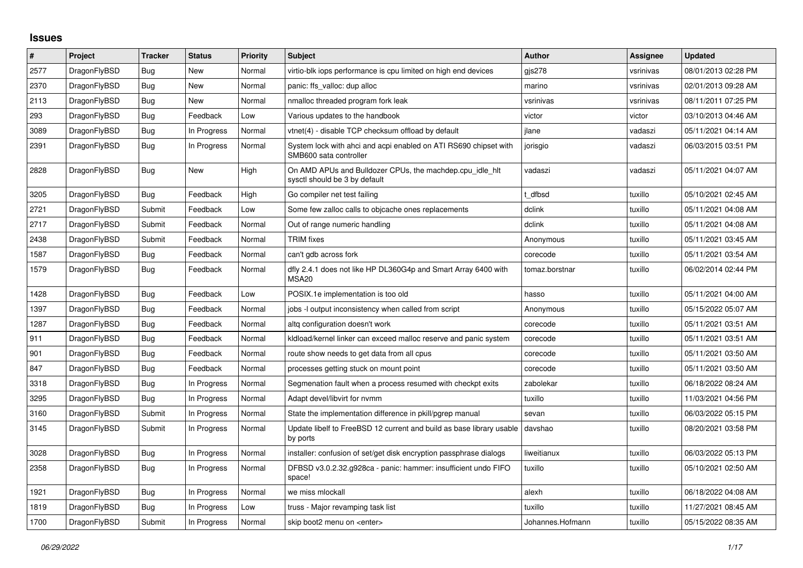## **Issues**

| $\vert$ # | Project      | <b>Tracker</b> | <b>Status</b> | <b>Priority</b> | <b>Subject</b>                                                                             | <b>Author</b>    | Assignee  | <b>Updated</b>      |
|-----------|--------------|----------------|---------------|-----------------|--------------------------------------------------------------------------------------------|------------------|-----------|---------------------|
| 2577      | DragonFlyBSD | <b>Bug</b>     | <b>New</b>    | Normal          | virtio-blk iops performance is cpu limited on high end devices                             | gis278           | vsrinivas | 08/01/2013 02:28 PM |
| 2370      | DragonFlyBSD | Bug            | New           | Normal          | panic: ffs valloc: dup alloc                                                               | marino           | vsrinivas | 02/01/2013 09:28 AM |
| 2113      | DragonFlyBSD | Bug            | New           | Normal          | nmalloc threaded program fork leak                                                         | vsrinivas        | vsrinivas | 08/11/2011 07:25 PM |
| 293       | DragonFlyBSD | <b>Bug</b>     | Feedback      | Low             | Various updates to the handbook                                                            | victor           | victor    | 03/10/2013 04:46 AM |
| 3089      | DragonFlyBSD | Bug            | In Progress   | Normal          | vtnet(4) - disable TCP checksum offload by default                                         | jlane            | vadaszi   | 05/11/2021 04:14 AM |
| 2391      | DragonFlyBSD | <b>Bug</b>     | In Progress   | Normal          | System lock with ahci and acpi enabled on ATI RS690 chipset with<br>SMB600 sata controller | jorisgio         | vadaszi   | 06/03/2015 03:51 PM |
| 2828      | DragonFlyBSD | <b>Bug</b>     | <b>New</b>    | High            | On AMD APUs and Bulldozer CPUs, the machdep.cpu idle hit<br>sysctl should be 3 by default  | vadaszi          | vadaszi   | 05/11/2021 04:07 AM |
| 3205      | DragonFlyBSD | Bug            | Feedback      | High            | Go compiler net test failing                                                               | t dfbsd          | tuxillo   | 05/10/2021 02:45 AM |
| 2721      | DragonFlyBSD | Submit         | Feedback      | Low             | Some few zalloc calls to objcache ones replacements                                        | dclink           | tuxillo   | 05/11/2021 04:08 AM |
| 2717      | DragonFlyBSD | Submit         | Feedback      | Normal          | Out of range numeric handling                                                              | dclink           | tuxillo   | 05/11/2021 04:08 AM |
| 2438      | DragonFlyBSD | Submit         | Feedback      | Normal          | <b>TRIM</b> fixes                                                                          | Anonymous        | tuxillo   | 05/11/2021 03:45 AM |
| 1587      | DragonFlyBSD | <b>Bug</b>     | Feedback      | Normal          | can't gdb across fork                                                                      | corecode         | tuxillo   | 05/11/2021 03:54 AM |
| 1579      | DragonFlyBSD | <b>Bug</b>     | Feedback      | Normal          | dfly 2.4.1 does not like HP DL360G4p and Smart Array 6400 with<br>MSA20                    | tomaz.borstnar   | tuxillo   | 06/02/2014 02:44 PM |
| 1428      | DragonFlyBSD | <b>Bug</b>     | Feedback      | Low             | POSIX.1e implementation is too old                                                         | hasso            | tuxillo   | 05/11/2021 04:00 AM |
| 1397      | DragonFlyBSD | Bug            | Feedback      | Normal          | jobs -I output inconsistency when called from script                                       | Anonymous        | tuxillo   | 05/15/2022 05:07 AM |
| 1287      | DragonFlyBSD | <b>Bug</b>     | Feedback      | Normal          | altq configuration doesn't work                                                            | corecode         | tuxillo   | 05/11/2021 03:51 AM |
| 911       | DragonFlyBSD | Bug            | Feedback      | Normal          | kldload/kernel linker can exceed malloc reserve and panic system                           | corecode         | tuxillo   | 05/11/2021 03:51 AM |
| 901       | DragonFlyBSD | Bug            | Feedback      | Normal          | route show needs to get data from all cpus                                                 | corecode         | tuxillo   | 05/11/2021 03:50 AM |
| 847       | DragonFlyBSD | Bug            | Feedback      | Normal          | processes getting stuck on mount point                                                     | corecode         | tuxillo   | 05/11/2021 03:50 AM |
| 3318      | DragonFlyBSD | <b>Bug</b>     | In Progress   | Normal          | Segmenation fault when a process resumed with checkpt exits                                | zabolekar        | tuxillo   | 06/18/2022 08:24 AM |
| 3295      | DragonFlyBSD | <b>Bug</b>     | In Progress   | Normal          | Adapt devel/libvirt for nvmm                                                               | tuxillo          | tuxillo   | 11/03/2021 04:56 PM |
| 3160      | DragonFlyBSD | Submit         | In Progress   | Normal          | State the implementation difference in pkill/pgrep manual                                  | sevan            | tuxillo   | 06/03/2022 05:15 PM |
| 3145      | DragonFlyBSD | Submit         | In Progress   | Normal          | Update libelf to FreeBSD 12 current and build as base library usable<br>by ports           | davshao          | tuxillo   | 08/20/2021 03:58 PM |
| 3028      | DragonFlyBSD | Bug            | In Progress   | Normal          | installer: confusion of set/get disk encryption passphrase dialogs                         | liweitianux      | tuxillo   | 06/03/2022 05:13 PM |
| 2358      | DragonFlyBSD | Bug            | In Progress   | Normal          | DFBSD v3.0.2.32.g928ca - panic: hammer: insufficient undo FIFO<br>space!                   | tuxillo          | tuxillo   | 05/10/2021 02:50 AM |
| 1921      | DragonFlyBSD | Bug            | In Progress   | Normal          | we miss mlockall                                                                           | alexh            | tuxillo   | 06/18/2022 04:08 AM |
| 1819      | DragonFlyBSD | <b>Bug</b>     | In Progress   | Low             | truss - Major revamping task list                                                          | tuxillo          | tuxillo   | 11/27/2021 08:45 AM |
| 1700      | DragonFlyBSD | Submit         | In Progress   | Normal          | skip boot2 menu on <enter></enter>                                                         | Johannes.Hofmann | tuxillo   | 05/15/2022 08:35 AM |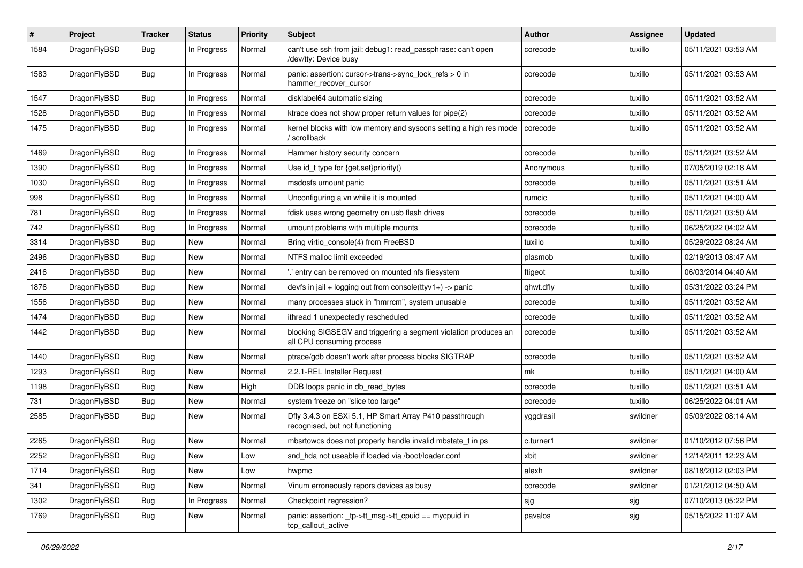| $\pmb{\#}$ | Project      | <b>Tracker</b> | <b>Status</b> | <b>Priority</b> | Subject                                                                                      | Author    | Assignee | <b>Updated</b>      |
|------------|--------------|----------------|---------------|-----------------|----------------------------------------------------------------------------------------------|-----------|----------|---------------------|
| 1584       | DragonFlyBSD | Bug            | In Progress   | Normal          | can't use ssh from jail: debug1: read_passphrase: can't open<br>/dev/tty: Device busy        | corecode  | tuxillo  | 05/11/2021 03:53 AM |
| 1583       | DragonFlyBSD | <b>Bug</b>     | In Progress   | Normal          | panic: assertion: cursor->trans->sync_lock_refs > 0 in<br>hammer_recover_cursor              | corecode  | tuxillo  | 05/11/2021 03:53 AM |
| 1547       | DragonFlyBSD | Bug            | In Progress   | Normal          | disklabel64 automatic sizing                                                                 | corecode  | tuxillo  | 05/11/2021 03:52 AM |
| 1528       | DragonFlyBSD | <b>Bug</b>     | In Progress   | Normal          | ktrace does not show proper return values for pipe(2)                                        | corecode  | tuxillo  | 05/11/2021 03:52 AM |
| 1475       | DragonFlyBSD | Bug            | In Progress   | Normal          | kernel blocks with low memory and syscons setting a high res mode<br>' scrollback            | corecode  | tuxillo  | 05/11/2021 03:52 AM |
| 1469       | DragonFlyBSD | <b>Bug</b>     | In Progress   | Normal          | Hammer history security concern                                                              | corecode  | tuxillo  | 05/11/2021 03:52 AM |
| 1390       | DragonFlyBSD | <b>Bug</b>     | In Progress   | Normal          | Use id_t type for {get, set}priority()                                                       | Anonymous | tuxillo  | 07/05/2019 02:18 AM |
| 1030       | DragonFlyBSD | Bug            | In Progress   | Normal          | msdosfs umount panic                                                                         | corecode  | tuxillo  | 05/11/2021 03:51 AM |
| 998        | DragonFlyBSD | Bug            | In Progress   | Normal          | Unconfiguring a vn while it is mounted                                                       | rumcic    | tuxillo  | 05/11/2021 04:00 AM |
| 781        | DragonFlyBSD | <b>Bug</b>     | In Progress   | Normal          | fdisk uses wrong geometry on usb flash drives                                                | corecode  | tuxillo  | 05/11/2021 03:50 AM |
| 742        | DragonFlyBSD | <b>Bug</b>     | In Progress   | Normal          | umount problems with multiple mounts                                                         | corecode  | tuxillo  | 06/25/2022 04:02 AM |
| 3314       | DragonFlyBSD | Bug            | <b>New</b>    | Normal          | Bring virtio_console(4) from FreeBSD                                                         | tuxillo   | tuxillo  | 05/29/2022 08:24 AM |
| 2496       | DragonFlyBSD | <b>Bug</b>     | New           | Normal          | NTFS malloc limit exceeded                                                                   | plasmob   | tuxillo  | 02/19/2013 08:47 AM |
| 2416       | DragonFlyBSD | Bug            | <b>New</b>    | Normal          | 'entry can be removed on mounted nfs filesystem                                              | ftigeot   | tuxillo  | 06/03/2014 04:40 AM |
| 1876       | DragonFlyBSD | <b>Bug</b>     | <b>New</b>    | Normal          | devfs in jail + logging out from console(ttyv1+) -> panic                                    | qhwt.dfly | tuxillo  | 05/31/2022 03:24 PM |
| 1556       | DragonFlyBSD | <b>Bug</b>     | <b>New</b>    | Normal          | many processes stuck in "hmrrcm", system unusable                                            | corecode  | tuxillo  | 05/11/2021 03:52 AM |
| 1474       | DragonFlyBSD | Bug            | New           | Normal          | ithread 1 unexpectedly rescheduled                                                           | corecode  | tuxillo  | 05/11/2021 03:52 AM |
| 1442       | DragonFlyBSD | <b>Bug</b>     | New           | Normal          | blocking SIGSEGV and triggering a segment violation produces an<br>all CPU consuming process | corecode  | tuxillo  | 05/11/2021 03:52 AM |
| 1440       | DragonFlyBSD | Bug            | <b>New</b>    | Normal          | ptrace/gdb doesn't work after process blocks SIGTRAP                                         | corecode  | tuxillo  | 05/11/2021 03:52 AM |
| 1293       | DragonFlyBSD | <b>Bug</b>     | New           | Normal          | 2.2.1-REL Installer Request                                                                  | mk        | tuxillo  | 05/11/2021 04:00 AM |
| 1198       | DragonFlyBSD | Bug            | <b>New</b>    | High            | DDB loops panic in db_read_bytes                                                             | corecode  | tuxillo  | 05/11/2021 03:51 AM |
| 731        | DragonFlyBSD | <b>Bug</b>     | <b>New</b>    | Normal          | system freeze on "slice too large"                                                           | corecode  | tuxillo  | 06/25/2022 04:01 AM |
| 2585       | DragonFlyBSD | <b>Bug</b>     | New           | Normal          | Dfly 3.4.3 on ESXi 5.1, HP Smart Array P410 passthrough<br>recognised, but not functioning   | yggdrasil | swildner | 05/09/2022 08:14 AM |
| 2265       | DragonFlyBSD | Bug            | New           | Normal          | mbsrtowcs does not properly handle invalid mbstate_t in ps                                   | c.turner1 | swildner | 01/10/2012 07:56 PM |
| 2252       | DragonFlyBSD | Bug            | New           | LOW             | snd_hda not useable if loaded via /boot/loader.conf                                          | xbit      | swildner | 12/14/2011 12:23 AM |
| 1714       | DragonFlyBSD | <b>Bug</b>     | New           | Low             | hwpmc                                                                                        | alexh     | swildner | 08/18/2012 02:03 PM |
| 341        | DragonFlyBSD | <b>Bug</b>     | New           | Normal          | Vinum erroneously repors devices as busy                                                     | corecode  | swildner | 01/21/2012 04:50 AM |
| 1302       | DragonFlyBSD | Bug            | In Progress   | Normal          | Checkpoint regression?                                                                       | sjg       | sjg      | 07/10/2013 05:22 PM |
| 1769       | DragonFlyBSD | <b>Bug</b>     | New           | Normal          | panic: assertion: _tp->tt_msg->tt_cpuid == mycpuid in<br>tcp_callout_active                  | pavalos   | sjg      | 05/15/2022 11:07 AM |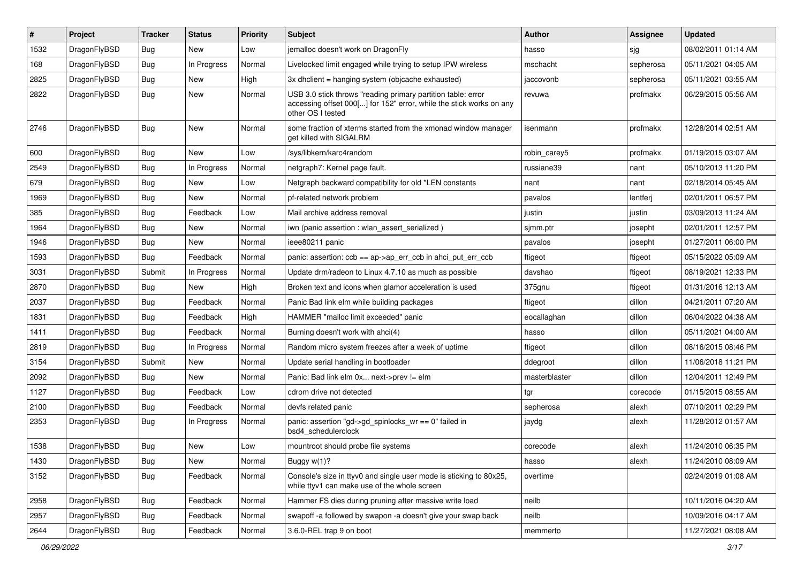| $\sharp$ | Project      | <b>Tracker</b> | <b>Status</b> | <b>Priority</b> | <b>Subject</b>                                                                                                                                           | <b>Author</b> | <b>Assignee</b> | <b>Updated</b>      |
|----------|--------------|----------------|---------------|-----------------|----------------------------------------------------------------------------------------------------------------------------------------------------------|---------------|-----------------|---------------------|
| 1532     | DragonFlyBSD | Bug            | <b>New</b>    | Low             | jemalloc doesn't work on DragonFly                                                                                                                       | hasso         | sjg             | 08/02/2011 01:14 AM |
| 168      | DragonFlyBSD | <b>Bug</b>     | In Progress   | Normal          | Livelocked limit engaged while trying to setup IPW wireless                                                                                              | mschacht      | sepherosa       | 05/11/2021 04:05 AM |
| 2825     | DragonFlyBSD | <b>Bug</b>     | <b>New</b>    | High            | 3x dhclient = hanging system (objcache exhausted)                                                                                                        | jaccovonb     | sepherosa       | 05/11/2021 03:55 AM |
| 2822     | DragonFlyBSD | Bug            | New           | Normal          | USB 3.0 stick throws "reading primary partition table: error<br>accessing offset 000[] for 152" error, while the stick works on any<br>other OS I tested | revuwa        | profmakx        | 06/29/2015 05:56 AM |
| 2746     | DragonFlyBSD | Bug            | <b>New</b>    | Normal          | some fraction of xterms started from the xmonad window manager<br>get killed with SIGALRM                                                                | isenmann      | profmakx        | 12/28/2014 02:51 AM |
| 600      | DragonFlyBSD | <b>Bug</b>     | New           | Low             | /sys/libkern/karc4random                                                                                                                                 | robin carev5  | profmakx        | 01/19/2015 03:07 AM |
| 2549     | DragonFlyBSD | <b>Bug</b>     | In Progress   | Normal          | netgraph7: Kernel page fault.                                                                                                                            | russiane39    | nant            | 05/10/2013 11:20 PM |
| 679      | DragonFlyBSD | <b>Bug</b>     | <b>New</b>    | Low             | Netgraph backward compatibility for old *LEN constants                                                                                                   | nant          | nant            | 02/18/2014 05:45 AM |
| 1969     | DragonFlyBSD | <b>Bug</b>     | <b>New</b>    | Normal          | pf-related network problem                                                                                                                               | pavalos       | lentferj        | 02/01/2011 06:57 PM |
| 385      | DragonFlyBSD | <b>Bug</b>     | Feedback      | Low             | Mail archive address removal                                                                                                                             | justin        | justin          | 03/09/2013 11:24 AM |
| 1964     | DragonFlyBSD | <b>Bug</b>     | New           | Normal          | iwn (panic assertion : wlan assert serialized)                                                                                                           | sjmm.ptr      | josepht         | 02/01/2011 12:57 PM |
| 1946     | DragonFlyBSD | Bug            | <b>New</b>    | Normal          | ieee80211 panic                                                                                                                                          | pavalos       | josepht         | 01/27/2011 06:00 PM |
| 1593     | DragonFlyBSD | Bug            | Feedback      | Normal          | panic: assertion: ccb == ap->ap_err_ccb in ahci_put_err_ccb                                                                                              | ftigeot       | ftigeot         | 05/15/2022 05:09 AM |
| 3031     | DragonFlyBSD | Submit         | In Progress   | Normal          | Update drm/radeon to Linux 4.7.10 as much as possible                                                                                                    | davshao       | ftigeot         | 08/19/2021 12:33 PM |
| 2870     | DragonFlyBSD | Bug            | <b>New</b>    | High            | Broken text and icons when glamor acceleration is used                                                                                                   | 375gnu        | ftigeot         | 01/31/2016 12:13 AM |
| 2037     | DragonFlyBSD | <b>Bug</b>     | Feedback      | Normal          | Panic Bad link elm while building packages                                                                                                               | ftigeot       | dillon          | 04/21/2011 07:20 AM |
| 1831     | DragonFlyBSD | Bug            | Feedback      | High            | HAMMER "malloc limit exceeded" panic                                                                                                                     | eocallaghan   | dillon          | 06/04/2022 04:38 AM |
| 1411     | DragonFlyBSD | <b>Bug</b>     | Feedback      | Normal          | Burning doesn't work with ahci(4)                                                                                                                        | hasso         | dillon          | 05/11/2021 04:00 AM |
| 2819     | DragonFlyBSD | <b>Bug</b>     | In Progress   | Normal          | Random micro system freezes after a week of uptime                                                                                                       | ftigeot       | dillon          | 08/16/2015 08:46 PM |
| 3154     | DragonFlyBSD | Submit         | <b>New</b>    | Normal          | Update serial handling in bootloader                                                                                                                     | ddegroot      | dillon          | 11/06/2018 11:21 PM |
| 2092     | DragonFlyBSD | <b>Bug</b>     | New           | Normal          | Panic: Bad link elm 0x next->prev != elm                                                                                                                 | masterblaster | dillon          | 12/04/2011 12:49 PM |
| 1127     | DragonFlyBSD | <b>Bug</b>     | Feedback      | Low             | cdrom drive not detected                                                                                                                                 | tgr           | corecode        | 01/15/2015 08:55 AM |
| 2100     | DragonFlyBSD | <b>Bug</b>     | Feedback      | Normal          | devfs related panic                                                                                                                                      | sepherosa     | alexh           | 07/10/2011 02:29 PM |
| 2353     | DragonFlyBSD | Bug            | In Progress   | Normal          | panic: assertion "gd->gd spinlocks $wr == 0$ " failed in<br>bsd4 schedulerclock                                                                          | jaydg         | alexh           | 11/28/2012 01:57 AM |
| 1538     | DragonFlyBSD | Bug            | New           | Low             | mountroot should probe file systems                                                                                                                      | corecode      | alexh           | 11/24/2010 06:35 PM |
| 1430     | DragonFlyBSD | <b>Bug</b>     | New           | Normal          | Buggy w(1)?                                                                                                                                              | hasso         | alexh           | 11/24/2010 08:09 AM |
| 3152     | DragonFlyBSD | Bug            | Feedback      | Normal          | Console's size in ttyv0 and single user mode is sticking to 80x25,<br>while ttyv1 can make use of the whole screen                                       | overtime      |                 | 02/24/2019 01:08 AM |
| 2958     | DragonFlyBSD | <b>Bug</b>     | Feedback      | Normal          | Hammer FS dies during pruning after massive write load                                                                                                   | neilb         |                 | 10/11/2016 04:20 AM |
| 2957     | DragonFlyBSD | <b>Bug</b>     | Feedback      | Normal          | swapoff -a followed by swapon -a doesn't give your swap back                                                                                             | neilb         |                 | 10/09/2016 04:17 AM |
| 2644     | DragonFlyBSD | <b>Bug</b>     | Feedback      | Normal          | 3.6.0-REL trap 9 on boot                                                                                                                                 | memmerto      |                 | 11/27/2021 08:08 AM |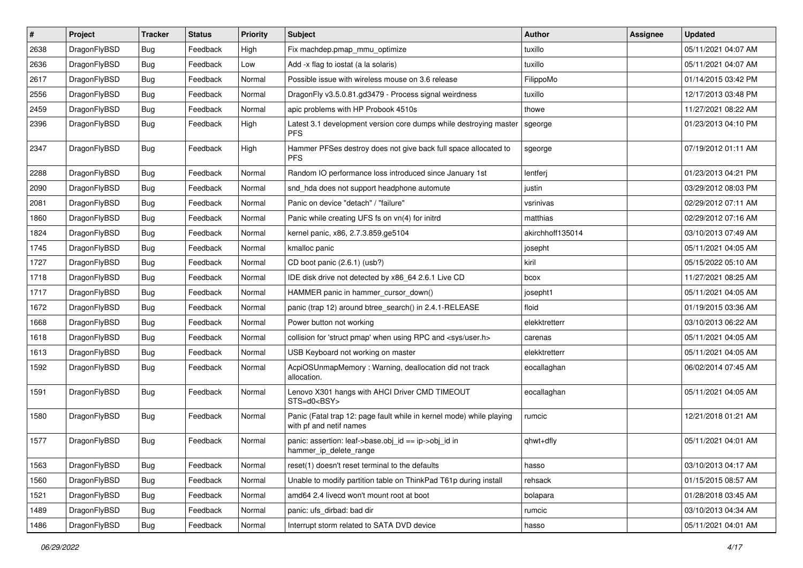| $\vert$ # | Project      | <b>Tracker</b> | <b>Status</b> | <b>Priority</b> | Subject                                                                                         | Author           | <b>Assignee</b> | <b>Updated</b>      |
|-----------|--------------|----------------|---------------|-----------------|-------------------------------------------------------------------------------------------------|------------------|-----------------|---------------------|
| 2638      | DragonFlyBSD | Bug            | Feedback      | High            | Fix machdep.pmap_mmu_optimize                                                                   | tuxillo          |                 | 05/11/2021 04:07 AM |
| 2636      | DragonFlyBSD | <b>Bug</b>     | Feedback      | Low             | Add -x flag to iostat (a la solaris)                                                            | tuxillo          |                 | 05/11/2021 04:07 AM |
| 2617      | DragonFlyBSD | <b>Bug</b>     | Feedback      | Normal          | Possible issue with wireless mouse on 3.6 release                                               | FilippoMo        |                 | 01/14/2015 03:42 PM |
| 2556      | DragonFlyBSD | Bug            | Feedback      | Normal          | DragonFly v3.5.0.81.gd3479 - Process signal weirdness                                           | tuxillo          |                 | 12/17/2013 03:48 PM |
| 2459      | DragonFlyBSD | <b>Bug</b>     | Feedback      | Normal          | apic problems with HP Probook 4510s                                                             | thowe            |                 | 11/27/2021 08:22 AM |
| 2396      | DragonFlyBSD | Bug            | Feedback      | High            | Latest 3.1 development version core dumps while destroying master<br><b>PFS</b>                 | sgeorge          |                 | 01/23/2013 04:10 PM |
| 2347      | DragonFlyBSD | <b>Bug</b>     | Feedback      | High            | Hammer PFSes destroy does not give back full space allocated to<br><b>PFS</b>                   | sgeorge          |                 | 07/19/2012 01:11 AM |
| 2288      | DragonFlyBSD | <b>Bug</b>     | Feedback      | Normal          | Random IO performance loss introduced since January 1st                                         | lentferj         |                 | 01/23/2013 04:21 PM |
| 2090      | DragonFlyBSD | <b>Bug</b>     | Feedback      | Normal          | snd_hda does not support headphone automute                                                     | justin           |                 | 03/29/2012 08:03 PM |
| 2081      | DragonFlyBSD | Bug            | Feedback      | Normal          | Panic on device "detach" / "failure"                                                            | vsrinivas        |                 | 02/29/2012 07:11 AM |
| 1860      | DragonFlyBSD | <b>Bug</b>     | Feedback      | Normal          | Panic while creating UFS fs on vn(4) for initrd                                                 | matthias         |                 | 02/29/2012 07:16 AM |
| 1824      | DragonFlyBSD | <b>Bug</b>     | Feedback      | Normal          | kernel panic, x86, 2.7.3.859.ge5104                                                             | akirchhoff135014 |                 | 03/10/2013 07:49 AM |
| 1745      | DragonFlyBSD | Bug            | Feedback      | Normal          | kmalloc panic                                                                                   | josepht          |                 | 05/11/2021 04:05 AM |
| 1727      | DragonFlyBSD | <b>Bug</b>     | Feedback      | Normal          | CD boot panic (2.6.1) (usb?)                                                                    | kiril            |                 | 05/15/2022 05:10 AM |
| 1718      | DragonFlyBSD | Bug            | Feedback      | Normal          | IDE disk drive not detected by x86_64 2.6.1 Live CD                                             | bcox             |                 | 11/27/2021 08:25 AM |
| 1717      | DragonFlyBSD | Bug            | Feedback      | Normal          | HAMMER panic in hammer_cursor_down()                                                            | josepht1         |                 | 05/11/2021 04:05 AM |
| 1672      | DragonFlyBSD | <b>Bug</b>     | Feedback      | Normal          | panic (trap 12) around btree_search() in 2.4.1-RELEASE                                          | floid            |                 | 01/19/2015 03:36 AM |
| 1668      | DragonFlyBSD | Bug            | Feedback      | Normal          | Power button not working                                                                        | elekktretterr    |                 | 03/10/2013 06:22 AM |
| 1618      | DragonFlyBSD | Bug            | Feedback      | Normal          | collision for 'struct pmap' when using RPC and <sys user.h=""></sys>                            | carenas          |                 | 05/11/2021 04:05 AM |
| 1613      | DragonFlyBSD | <b>Bug</b>     | Feedback      | Normal          | USB Keyboard not working on master                                                              | elekktretterr    |                 | 05/11/2021 04:05 AM |
| 1592      | DragonFlyBSD | Bug            | Feedback      | Normal          | AcpiOSUnmapMemory: Warning, deallocation did not track<br>allocation.                           | eocallaghan      |                 | 06/02/2014 07:45 AM |
| 1591      | DragonFlyBSD | Bug            | Feedback      | Normal          | Lenovo X301 hangs with AHCI Driver CMD TIMEOUT<br>STS=d0 <bsy></bsy>                            | eocallaghan      |                 | 05/11/2021 04:05 AM |
| 1580      | DragonFlyBSD | <b>Bug</b>     | Feedback      | Normal          | Panic (Fatal trap 12: page fault while in kernel mode) while playing<br>with pf and netif names | rumcic           |                 | 12/21/2018 01:21 AM |
| 1577      | DragonFlyBSD | Bug            | Feedback      | Normal          | panic: assertion: leaf->base.obj_id == ip->obj_id in<br>hammer_ip_delete_range                  | qhwt+dfly        |                 | 05/11/2021 04:01 AM |
| 1563      | DragonFlyBSD | Bug            | Feedback      | Normal          | reset(1) doesn't reset terminal to the defaults                                                 | hasso            |                 | 03/10/2013 04:17 AM |
| 1560      | DragonFlyBSD | <b>Bug</b>     | Feedback      | Normal          | Unable to modify partition table on ThinkPad T61p during install                                | rehsack          |                 | 01/15/2015 08:57 AM |
| 1521      | DragonFlyBSD | <b>Bug</b>     | Feedback      | Normal          | amd64 2.4 livecd won't mount root at boot                                                       | bolapara         |                 | 01/28/2018 03:45 AM |
| 1489      | DragonFlyBSD | Bug            | Feedback      | Normal          | panic: ufs_dirbad: bad dir                                                                      | rumcic           |                 | 03/10/2013 04:34 AM |
| 1486      | DragonFlyBSD | Bug            | Feedback      | Normal          | Interrupt storm related to SATA DVD device                                                      | hasso            |                 | 05/11/2021 04:01 AM |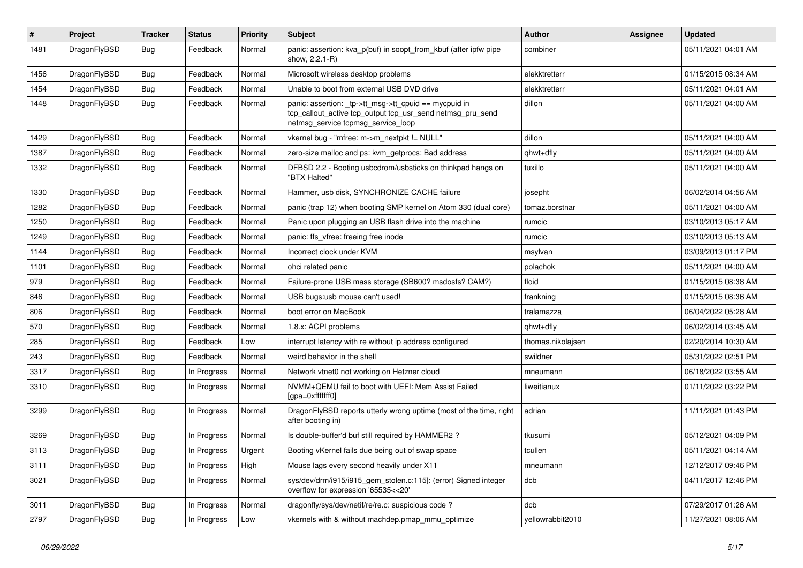| $\sharp$ | Project      | <b>Tracker</b> | <b>Status</b> | <b>Priority</b> | Subject                                                                                                                                                   | Author            | Assignee | <b>Updated</b>      |
|----------|--------------|----------------|---------------|-----------------|-----------------------------------------------------------------------------------------------------------------------------------------------------------|-------------------|----------|---------------------|
| 1481     | DragonFlyBSD | <b>Bug</b>     | Feedback      | Normal          | panic: assertion: kva_p(buf) in soopt_from_kbuf (after ipfw pipe<br>show, 2.2.1-R)                                                                        | combiner          |          | 05/11/2021 04:01 AM |
| 1456     | DragonFlyBSD | <b>Bug</b>     | Feedback      | Normal          | Microsoft wireless desktop problems                                                                                                                       | elekktretterr     |          | 01/15/2015 08:34 AM |
| 1454     | DragonFlyBSD | <b>Bug</b>     | Feedback      | Normal          | Unable to boot from external USB DVD drive                                                                                                                | elekktretterr     |          | 05/11/2021 04:01 AM |
| 1448     | DragonFlyBSD | Bug            | Feedback      | Normal          | panic: assertion: _tp->tt_msg->tt_cpuid == mycpuid in<br>tcp_callout_active tcp_output tcp_usr_send netmsg_pru_send<br>netmsg_service tcpmsg_service_loop | dillon            |          | 05/11/2021 04:00 AM |
| 1429     | DragonFlyBSD | Bug            | Feedback      | Normal          | vkernel bug - "mfree: m->m_nextpkt != NULL"                                                                                                               | dillon            |          | 05/11/2021 04:00 AM |
| 1387     | DragonFlyBSD | <b>Bug</b>     | Feedback      | Normal          | zero-size malloc and ps: kvm_getprocs: Bad address                                                                                                        | qhwt+dfly         |          | 05/11/2021 04:00 AM |
| 1332     | DragonFlyBSD | Bug            | Feedback      | Normal          | DFBSD 2.2 - Booting usbcdrom/usbsticks on thinkpad hangs on<br>"BTX Halted"                                                                               | tuxillo           |          | 05/11/2021 04:00 AM |
| 1330     | DragonFlyBSD | Bug            | Feedback      | Normal          | Hammer, usb disk, SYNCHRONIZE CACHE failure                                                                                                               | josepht           |          | 06/02/2014 04:56 AM |
| 1282     | DragonFlyBSD | Bug            | Feedback      | Normal          | panic (trap 12) when booting SMP kernel on Atom 330 (dual core)                                                                                           | tomaz.borstnar    |          | 05/11/2021 04:00 AM |
| 1250     | DragonFlyBSD | <b>Bug</b>     | Feedback      | Normal          | Panic upon plugging an USB flash drive into the machine                                                                                                   | rumcic            |          | 03/10/2013 05:17 AM |
| 1249     | DragonFlyBSD | <b>Bug</b>     | Feedback      | Normal          | panic: ffs_vfree: freeing free inode                                                                                                                      | rumcic            |          | 03/10/2013 05:13 AM |
| 1144     | DragonFlyBSD | <b>Bug</b>     | Feedback      | Normal          | Incorrect clock under KVM                                                                                                                                 | msylvan           |          | 03/09/2013 01:17 PM |
| 1101     | DragonFlyBSD | <b>Bug</b>     | Feedback      | Normal          | ohci related panic                                                                                                                                        | polachok          |          | 05/11/2021 04:00 AM |
| 979      | DragonFlyBSD | Bug            | Feedback      | Normal          | Failure-prone USB mass storage (SB600? msdosfs? CAM?)                                                                                                     | floid             |          | 01/15/2015 08:38 AM |
| 846      | DragonFlyBSD | <b>Bug</b>     | Feedback      | Normal          | USB bugs:usb mouse can't used!                                                                                                                            | frankning         |          | 01/15/2015 08:36 AM |
| 806      | DragonFlyBSD | <b>Bug</b>     | Feedback      | Normal          | boot error on MacBook                                                                                                                                     | tralamazza        |          | 06/04/2022 05:28 AM |
| 570      | DragonFlyBSD | <b>Bug</b>     | Feedback      | Normal          | 1.8.x: ACPI problems                                                                                                                                      | qhwt+dfly         |          | 06/02/2014 03:45 AM |
| 285      | DragonFlyBSD | <b>Bug</b>     | Feedback      | Low             | interrupt latency with re without ip address configured                                                                                                   | thomas.nikolajsen |          | 02/20/2014 10:30 AM |
| 243      | DragonFlyBSD | Bug            | Feedback      | Normal          | weird behavior in the shell                                                                                                                               | swildner          |          | 05/31/2022 02:51 PM |
| 3317     | DragonFlyBSD | <b>Bug</b>     | In Progress   | Normal          | Network vtnet0 not working on Hetzner cloud                                                                                                               | mneumann          |          | 06/18/2022 03:55 AM |
| 3310     | DragonFlyBSD | <b>Bug</b>     | In Progress   | Normal          | NVMM+QEMU fail to boot with UEFI: Mem Assist Failed<br>[gpa=0xfffffff0]                                                                                   | liweitianux       |          | 01/11/2022 03:22 PM |
| 3299     | DragonFlyBSD | Bug            | In Progress   | Normal          | DragonFlyBSD reports utterly wrong uptime (most of the time, right<br>after booting in)                                                                   | adrian            |          | 11/11/2021 01:43 PM |
| 3269     | DragonFlyBSD | Bug            | In Progress   | Normal          | Is double-buffer'd buf still required by HAMMER2 ?                                                                                                        | tkusumi           |          | 05/12/2021 04:09 PM |
| 3113     | DragonFlyBSD | Bug            | In Progress   | Urgent          | Booting vKernel fails due being out of swap space                                                                                                         | tcullen           |          | 05/11/2021 04:14 AM |
| 3111     | DragonFlyBSD | <b>Bug</b>     | In Progress   | High            | Mouse lags every second heavily under X11                                                                                                                 | mneumann          |          | 12/12/2017 09:46 PM |
| 3021     | DragonFlyBSD | <b>Bug</b>     | In Progress   | Normal          | sys/dev/drm/i915/i915_gem_stolen.c:115]: (error) Signed integer<br>overflow for expression '65535<<20'                                                    | dcb               |          | 04/11/2017 12:46 PM |
| 3011     | DragonFlyBSD | <b>Bug</b>     | In Progress   | Normal          | dragonfly/sys/dev/netif/re/re.c: suspicious code?                                                                                                         | dcb               |          | 07/29/2017 01:26 AM |
| 2797     | DragonFlyBSD | <b>Bug</b>     | In Progress   | Low             | vkernels with & without machdep.pmap_mmu_optimize                                                                                                         | yellowrabbit2010  |          | 11/27/2021 08:06 AM |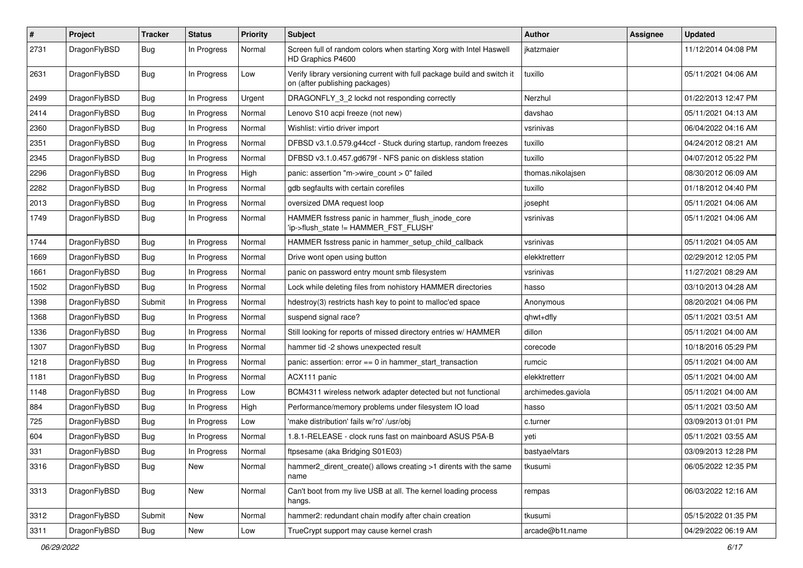| $\sharp$ | Project      | <b>Tracker</b> | <b>Status</b> | <b>Priority</b> | Subject                                                                                                   | <b>Author</b>      | Assignee | <b>Updated</b>      |
|----------|--------------|----------------|---------------|-----------------|-----------------------------------------------------------------------------------------------------------|--------------------|----------|---------------------|
| 2731     | DragonFlyBSD | Bug            | In Progress   | Normal          | Screen full of random colors when starting Xorg with Intel Haswell<br>HD Graphics P4600                   | jkatzmaier         |          | 11/12/2014 04:08 PM |
| 2631     | DragonFlyBSD | Bug            | In Progress   | Low             | Verify library versioning current with full package build and switch it<br>on (after publishing packages) | tuxillo            |          | 05/11/2021 04:06 AM |
| 2499     | DragonFlyBSD | <b>Bug</b>     | In Progress   | Urgent          | DRAGONFLY_3_2 lockd not responding correctly                                                              | Nerzhul            |          | 01/22/2013 12:47 PM |
| 2414     | DragonFlyBSD | Bug            | In Progress   | Normal          | Lenovo S10 acpi freeze (not new)                                                                          | davshao            |          | 05/11/2021 04:13 AM |
| 2360     | DragonFlyBSD | <b>Bug</b>     | In Progress   | Normal          | Wishlist: virtio driver import                                                                            | vsrinivas          |          | 06/04/2022 04:16 AM |
| 2351     | DragonFlyBSD | Bug            | In Progress   | Normal          | DFBSD v3.1.0.579.g44ccf - Stuck during startup, random freezes                                            | tuxillo            |          | 04/24/2012 08:21 AM |
| 2345     | DragonFlyBSD | <b>Bug</b>     | In Progress   | Normal          | DFBSD v3.1.0.457.gd679f - NFS panic on diskless station                                                   | tuxillo            |          | 04/07/2012 05:22 PM |
| 2296     | DragonFlyBSD | <b>Bug</b>     | In Progress   | High            | panic: assertion "m->wire count > 0" failed                                                               | thomas.nikolajsen  |          | 08/30/2012 06:09 AM |
| 2282     | DragonFlyBSD | <b>Bug</b>     | In Progress   | Normal          | gdb segfaults with certain corefiles                                                                      | tuxillo            |          | 01/18/2012 04:40 PM |
| 2013     | DragonFlyBSD | <b>Bug</b>     | In Progress   | Normal          | oversized DMA request loop                                                                                | josepht            |          | 05/11/2021 04:06 AM |
| 1749     | DragonFlyBSD | <b>Bug</b>     | In Progress   | Normal          | HAMMER fsstress panic in hammer_flush_inode_core<br>'ip->flush_state != HAMMER_FST_FLUSH'                 | vsrinivas          |          | 05/11/2021 04:06 AM |
| 1744     | DragonFlyBSD | Bug            | In Progress   | Normal          | HAMMER fsstress panic in hammer_setup_child_callback                                                      | vsrinivas          |          | 05/11/2021 04:05 AM |
| 1669     | DragonFlyBSD | Bug            | In Progress   | Normal          | Drive wont open using button                                                                              | elekktretterr      |          | 02/29/2012 12:05 PM |
| 1661     | DragonFlyBSD | <b>Bug</b>     | In Progress   | Normal          | panic on password entry mount smb filesystem                                                              | vsrinivas          |          | 11/27/2021 08:29 AM |
| 1502     | DragonFlyBSD | <b>Bug</b>     | In Progress   | Normal          | Lock while deleting files from nohistory HAMMER directories                                               | hasso              |          | 03/10/2013 04:28 AM |
| 1398     | DragonFlyBSD | Submit         | In Progress   | Normal          | hdestroy(3) restricts hash key to point to malloc'ed space                                                | Anonymous          |          | 08/20/2021 04:06 PM |
| 1368     | DragonFlyBSD | Bug            | In Progress   | Normal          | suspend signal race?                                                                                      | qhwt+dfly          |          | 05/11/2021 03:51 AM |
| 1336     | DragonFlyBSD | Bug            | In Progress   | Normal          | Still looking for reports of missed directory entries w/ HAMMER                                           | dillon             |          | 05/11/2021 04:00 AM |
| 1307     | DragonFlyBSD | <b>Bug</b>     | In Progress   | Normal          | hammer tid -2 shows unexpected result                                                                     | corecode           |          | 10/18/2016 05:29 PM |
| 1218     | DragonFlyBSD | <b>Bug</b>     | In Progress   | Normal          | panic: assertion: error == 0 in hammer_start_transaction                                                  | rumcic             |          | 05/11/2021 04:00 AM |
| 1181     | DragonFlyBSD | Bug            | In Progress   | Normal          | ACX111 panic                                                                                              | elekktretterr      |          | 05/11/2021 04:00 AM |
| 1148     | DragonFlyBSD | <b>Bug</b>     | In Progress   | Low             | BCM4311 wireless network adapter detected but not functional                                              | archimedes.gaviola |          | 05/11/2021 04:00 AM |
| 884      | DragonFlyBSD | <b>Bug</b>     | In Progress   | High            | Performance/memory problems under filesystem IO load                                                      | hasso              |          | 05/11/2021 03:50 AM |
| 725      | DragonFlyBSD | <b>Bug</b>     | In Progress   | Low             | 'make distribution' fails w/'ro' /usr/obi                                                                 | c.turner           |          | 03/09/2013 01:01 PM |
| 604      | DragonFlyBSD | <b>Bug</b>     | In Progress   | Normal          | 1.8.1-RELEASE - clock runs fast on mainboard ASUS P5A-B                                                   | yeti               |          | 05/11/2021 03:55 AM |
| 331      | DragonFlyBSD | Bug            | In Progress   | Normal          | ftpsesame (aka Bridging S01E03)                                                                           | bastyaelvtars      |          | 03/09/2013 12:28 PM |
| 3316     | DragonFlyBSD | <b>Bug</b>     | New           | Normal          | hammer2_dirent_create() allows creating >1 dirents with the same<br>name                                  | tkusumi            |          | 06/05/2022 12:35 PM |
| 3313     | DragonFlyBSD | <b>Bug</b>     | New           | Normal          | Can't boot from my live USB at all. The kernel loading process<br>hangs.                                  | rempas             |          | 06/03/2022 12:16 AM |
| 3312     | DragonFlyBSD | Submit         | New           | Normal          | hammer2: redundant chain modify after chain creation                                                      | tkusumi            |          | 05/15/2022 01:35 PM |
| 3311     | DragonFlyBSD | <b>Bug</b>     | New           | Low             | TrueCrypt support may cause kernel crash                                                                  | arcade@b1t.name    |          | 04/29/2022 06:19 AM |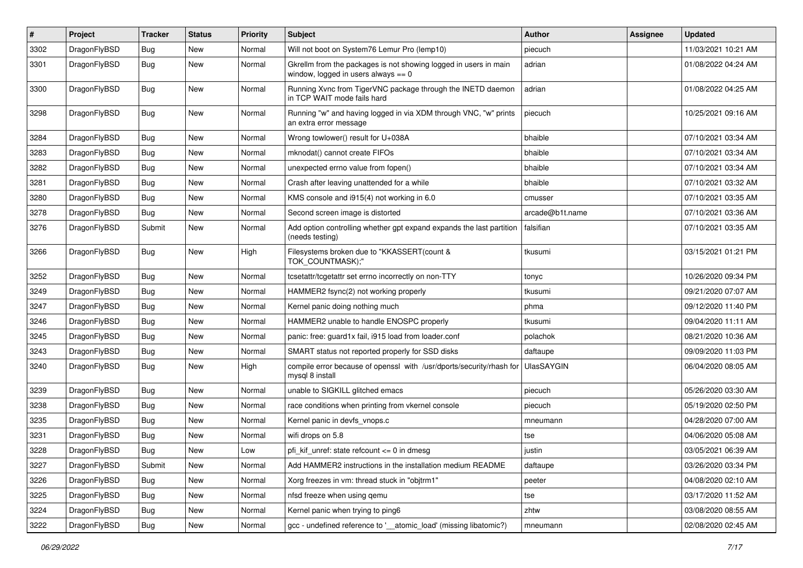| $\pmb{\#}$ | Project      | <b>Tracker</b> | <b>Status</b> | <b>Priority</b> | Subject                                                                                                   | <b>Author</b>     | Assignee | <b>Updated</b>      |
|------------|--------------|----------------|---------------|-----------------|-----------------------------------------------------------------------------------------------------------|-------------------|----------|---------------------|
| 3302       | DragonFlyBSD | Bug            | New           | Normal          | Will not boot on System76 Lemur Pro (lemp10)                                                              | piecuch           |          | 11/03/2021 10:21 AM |
| 3301       | DragonFlyBSD | Bug            | New           | Normal          | Gkrellm from the packages is not showing logged in users in main<br>window, logged in users always $== 0$ | adrian            |          | 01/08/2022 04:24 AM |
| 3300       | DragonFlyBSD | Bug            | New           | Normal          | Running Xvnc from TigerVNC package through the INETD daemon<br>in TCP WAIT mode fails hard                | adrian            |          | 01/08/2022 04:25 AM |
| 3298       | DragonFlyBSD | Bug            | New           | Normal          | Running "w" and having logged in via XDM through VNC, "w" prints<br>an extra error message                | piecuch           |          | 10/25/2021 09:16 AM |
| 3284       | DragonFlyBSD | <b>Bug</b>     | <b>New</b>    | Normal          | Wrong towlower() result for U+038A                                                                        | bhaible           |          | 07/10/2021 03:34 AM |
| 3283       | DragonFlyBSD | Bug            | New           | Normal          | mknodat() cannot create FIFOs                                                                             | bhaible           |          | 07/10/2021 03:34 AM |
| 3282       | DragonFlyBSD | Bug            | <b>New</b>    | Normal          | unexpected errno value from fopen()                                                                       | bhaible           |          | 07/10/2021 03:34 AM |
| 3281       | DragonFlyBSD | Bug            | New           | Normal          | Crash after leaving unattended for a while                                                                | bhaible           |          | 07/10/2021 03:32 AM |
| 3280       | DragonFlyBSD | Bug            | New           | Normal          | KMS console and i915(4) not working in 6.0                                                                | cmusser           |          | 07/10/2021 03:35 AM |
| 3278       | DragonFlyBSD | Bug            | <b>New</b>    | Normal          | Second screen image is distorted                                                                          | arcade@b1t.name   |          | 07/10/2021 03:36 AM |
| 3276       | DragonFlyBSD | Submit         | New           | Normal          | Add option controlling whether gpt expand expands the last partition<br>(needs testing)                   | falsifian         |          | 07/10/2021 03:35 AM |
| 3266       | DragonFlyBSD | Bug            | New           | High            | Filesystems broken due to "KKASSERT(count &<br>TOK_COUNTMASK);"                                           | tkusumi           |          | 03/15/2021 01:21 PM |
| 3252       | DragonFlyBSD | Bug            | <b>New</b>    | Normal          | tcsetattr/tcgetattr set errno incorrectly on non-TTY                                                      | tonyc             |          | 10/26/2020 09:34 PM |
| 3249       | DragonFlyBSD | Bug            | New           | Normal          | HAMMER2 fsync(2) not working properly                                                                     | tkusumi           |          | 09/21/2020 07:07 AM |
| 3247       | DragonFlyBSD | Bug            | <b>New</b>    | Normal          | Kernel panic doing nothing much                                                                           | phma              |          | 09/12/2020 11:40 PM |
| 3246       | DragonFlyBSD | <b>Bug</b>     | <b>New</b>    | Normal          | HAMMER2 unable to handle ENOSPC properly                                                                  | tkusumi           |          | 09/04/2020 11:11 AM |
| 3245       | DragonFlyBSD | Bug            | <b>New</b>    | Normal          | panic: free: guard1x fail, i915 load from loader.conf                                                     | polachok          |          | 08/21/2020 10:36 AM |
| 3243       | DragonFlyBSD | Bug            | <b>New</b>    | Normal          | SMART status not reported properly for SSD disks                                                          | daftaupe          |          | 09/09/2020 11:03 PM |
| 3240       | DragonFlyBSD | Bug            | New           | High            | compile error because of openssl with /usr/dports/security/rhash for<br>mysql 8 install                   | <b>UlasSAYGIN</b> |          | 06/04/2020 08:05 AM |
| 3239       | DragonFlyBSD | Bug            | <b>New</b>    | Normal          | unable to SIGKILL glitched emacs                                                                          | piecuch           |          | 05/26/2020 03:30 AM |
| 3238       | DragonFlyBSD | <b>Bug</b>     | <b>New</b>    | Normal          | race conditions when printing from vkernel console                                                        | piecuch           |          | 05/19/2020 02:50 PM |
| 3235       | DragonFlyBSD | Bug            | <b>New</b>    | Normal          | Kernel panic in devfs vnops.c                                                                             | mneumann          |          | 04/28/2020 07:00 AM |
| 3231       | DragonFlyBSD | <b>Bug</b>     | New           | Normal          | wifi drops on 5.8                                                                                         | tse               |          | 04/06/2020 05:08 AM |
| 3228       | DragonFlyBSD | Bug            | New           | Low             | pfi kif unref: state refcount $\leq 0$ in dmesg                                                           | justin            |          | 03/05/2021 06:39 AM |
| 3227       | DragonFlyBSD | Submit         | New           | Normal          | Add HAMMER2 instructions in the installation medium README                                                | daftaupe          |          | 03/26/2020 03:34 PM |
| 3226       | DragonFlyBSD | <b>Bug</b>     | New           | Normal          | Xorg freezes in vm: thread stuck in "objtrm1"                                                             | peeter            |          | 04/08/2020 02:10 AM |
| 3225       | DragonFlyBSD | <b>Bug</b>     | New           | Normal          | nfsd freeze when using gemu                                                                               | tse               |          | 03/17/2020 11:52 AM |
| 3224       | DragonFlyBSD | <b>Bug</b>     | New           | Normal          | Kernel panic when trying to ping6                                                                         | zhtw              |          | 03/08/2020 08:55 AM |
| 3222       | DragonFlyBSD | Bug            | New           | Normal          | gcc - undefined reference to '__atomic_load' (missing libatomic?)                                         | mneumann          |          | 02/08/2020 02:45 AM |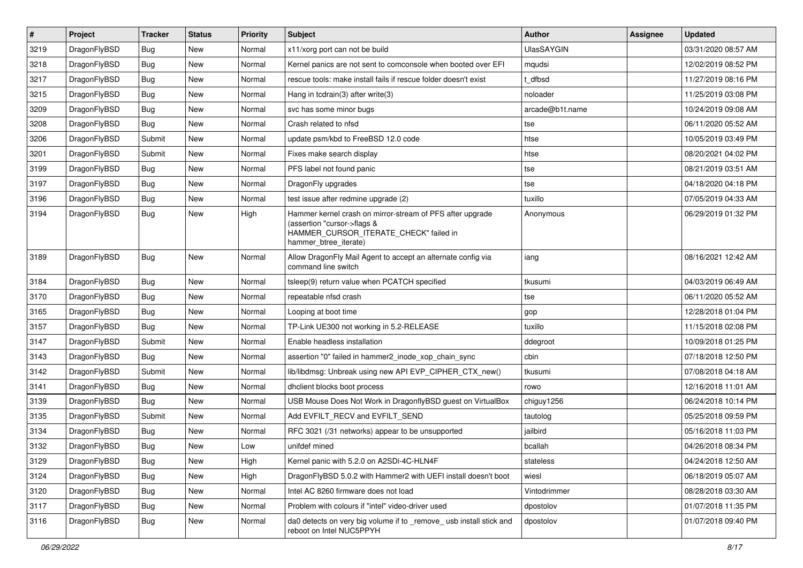| $\vert$ # | Project      | <b>Tracker</b> | <b>Status</b> | <b>Priority</b> | Subject                                                                                                                                                     | Author            | Assignee | <b>Updated</b>      |
|-----------|--------------|----------------|---------------|-----------------|-------------------------------------------------------------------------------------------------------------------------------------------------------------|-------------------|----------|---------------------|
| 3219      | DragonFlyBSD | Bug            | <b>New</b>    | Normal          | x11/xorg port can not be build                                                                                                                              | <b>UlasSAYGIN</b> |          | 03/31/2020 08:57 AM |
| 3218      | DragonFlyBSD | Bug            | <b>New</b>    | Normal          | Kernel panics are not sent to comconsole when booted over EFI                                                                                               | mqudsi            |          | 12/02/2019 08:52 PM |
| 3217      | DragonFlyBSD | Bug            | New           | Normal          | rescue tools: make install fails if rescue folder doesn't exist                                                                                             | dfbsd             |          | 11/27/2019 08:16 PM |
| 3215      | DragonFlyBSD | Bug            | New           | Normal          | Hang in tcdrain(3) after write(3)                                                                                                                           | noloader          |          | 11/25/2019 03:08 PM |
| 3209      | DragonFlyBSD | Bug            | <b>New</b>    | Normal          | svc has some minor bugs                                                                                                                                     | arcade@b1t.name   |          | 10/24/2019 09:08 AM |
| 3208      | DragonFlyBSD | Bug            | New           | Normal          | Crash related to nfsd                                                                                                                                       | tse               |          | 06/11/2020 05:52 AM |
| 3206      | DragonFlyBSD | Submit         | New           | Normal          | update psm/kbd to FreeBSD 12.0 code                                                                                                                         | htse              |          | 10/05/2019 03:49 PM |
| 3201      | DragonFlyBSD | Submit         | New           | Normal          | Fixes make search display                                                                                                                                   | htse              |          | 08/20/2021 04:02 PM |
| 3199      | DragonFlyBSD | Bug            | <b>New</b>    | Normal          | PFS label not found panic                                                                                                                                   | tse               |          | 08/21/2019 03:51 AM |
| 3197      | DragonFlyBSD | Bug            | <b>New</b>    | Normal          | DragonFly upgrades                                                                                                                                          | tse               |          | 04/18/2020 04:18 PM |
| 3196      | DragonFlyBSD | Bug            | New           | Normal          | test issue after redmine upgrade (2)                                                                                                                        | tuxillo           |          | 07/05/2019 04:33 AM |
| 3194      | DragonFlyBSD | Bug            | <b>New</b>    | High            | Hammer kernel crash on mirror-stream of PFS after upgrade<br>(assertion "cursor->flags &<br>HAMMER_CURSOR_ITERATE_CHECK" failed in<br>hammer_btree_iterate) | Anonymous         |          | 06/29/2019 01:32 PM |
| 3189      | DragonFlyBSD | Bug            | New           | Normal          | Allow DragonFly Mail Agent to accept an alternate config via<br>command line switch                                                                         | iang              |          | 08/16/2021 12:42 AM |
| 3184      | DragonFlyBSD | Bug            | <b>New</b>    | Normal          | tsleep(9) return value when PCATCH specified                                                                                                                | tkusumi           |          | 04/03/2019 06:49 AM |
| 3170      | DragonFlyBSD | Bug            | <b>New</b>    | Normal          | repeatable nfsd crash                                                                                                                                       | tse               |          | 06/11/2020 05:52 AM |
| 3165      | DragonFlyBSD | Bug            | <b>New</b>    | Normal          | Looping at boot time                                                                                                                                        | gop               |          | 12/28/2018 01:04 PM |
| 3157      | DragonFlyBSD | Bug            | <b>New</b>    | Normal          | TP-Link UE300 not working in 5.2-RELEASE                                                                                                                    | tuxillo           |          | 11/15/2018 02:08 PM |
| 3147      | DragonFlyBSD | Submit         | New           | Normal          | Enable headless installation                                                                                                                                | ddegroot          |          | 10/09/2018 01:25 PM |
| 3143      | DragonFlyBSD | Bug            | <b>New</b>    | Normal          | assertion "0" failed in hammer2_inode_xop_chain_sync                                                                                                        | cbin              |          | 07/18/2018 12:50 PM |
| 3142      | DragonFlyBSD | Submit         | New           | Normal          | lib/libdmsg: Unbreak using new API EVP_CIPHER_CTX_new()                                                                                                     | tkusumi           |          | 07/08/2018 04:18 AM |
| 3141      | DragonFlyBSD | Bug            | <b>New</b>    | Normal          | dhclient blocks boot process                                                                                                                                | rowo              |          | 12/16/2018 11:01 AM |
| 3139      | DragonFlyBSD | Bug            | <b>New</b>    | Normal          | USB Mouse Does Not Work in DragonflyBSD guest on VirtualBox                                                                                                 | chiguy1256        |          | 06/24/2018 10:14 PM |
| 3135      | DragonFlyBSD | Submit         | New           | Normal          | Add EVFILT RECV and EVFILT SEND                                                                                                                             | tautolog          |          | 05/25/2018 09:59 PM |
| 3134      | DragonFlyBSD | Bug            | <b>New</b>    | Normal          | RFC 3021 (/31 networks) appear to be unsupported                                                                                                            | jailbird          |          | 05/16/2018 11:03 PM |
| 3132      | DragonFlyBSD | <b>Bug</b>     | New           | Low             | unifdef mined                                                                                                                                               | bcallah           |          | 04/26/2018 08:34 PM |
| 3129      | DragonFlyBSD | <b>Bug</b>     | New           | High            | Kernel panic with 5.2.0 on A2SDi-4C-HLN4F                                                                                                                   | stateless         |          | 04/24/2018 12:50 AM |
| 3124      | DragonFlyBSD | Bug            | New           | High            | DragonFlyBSD 5.0.2 with Hammer2 with UEFI install doesn't boot                                                                                              | wiesl             |          | 06/18/2019 05:07 AM |
| 3120      | DragonFlyBSD | <b>Bug</b>     | New           | Normal          | Intel AC 8260 firmware does not load                                                                                                                        | Vintodrimmer      |          | 08/28/2018 03:30 AM |
| 3117      | DragonFlyBSD | Bug            | New           | Normal          | Problem with colours if "intel" video-driver used                                                                                                           | dpostolov         |          | 01/07/2018 11:35 PM |
| 3116      | DragonFlyBSD | Bug            | New           | Normal          | da0 detects on very big volume if to _remove_ usb install stick and<br>reboot on Intel NUC5PPYH                                                             | dpostolov         |          | 01/07/2018 09:40 PM |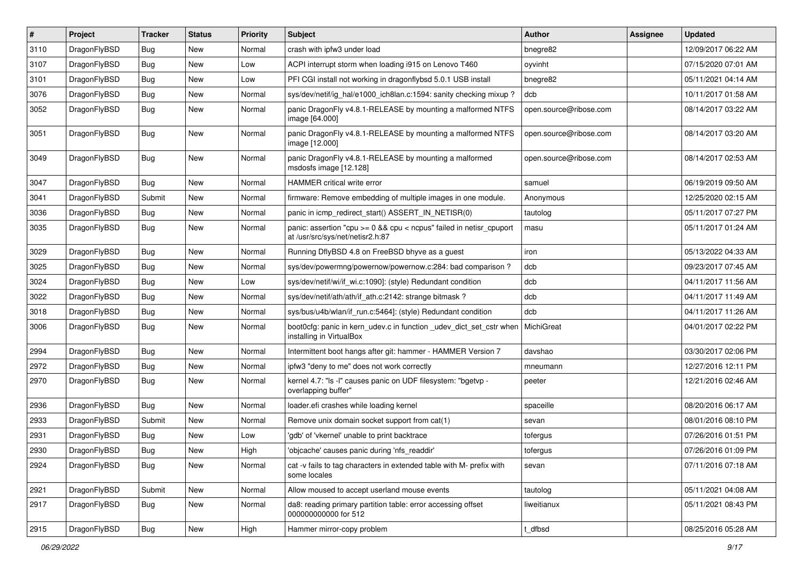| $\vert$ # | Project      | <b>Tracker</b> | <b>Status</b> | <b>Priority</b> | <b>Subject</b>                                                                                            | Author                 | Assignee | <b>Updated</b>      |
|-----------|--------------|----------------|---------------|-----------------|-----------------------------------------------------------------------------------------------------------|------------------------|----------|---------------------|
| 3110      | DragonFlyBSD | Bug            | <b>New</b>    | Normal          | crash with ipfw3 under load                                                                               | bnegre82               |          | 12/09/2017 06:22 AM |
| 3107      | DragonFlyBSD | <b>Bug</b>     | <b>New</b>    | Low             | ACPI interrupt storm when loading i915 on Lenovo T460                                                     | oyvinht                |          | 07/15/2020 07:01 AM |
| 3101      | DragonFlyBSD | <b>Bug</b>     | <b>New</b>    | Low             | PFI CGI install not working in dragonflybsd 5.0.1 USB install                                             | bnegre82               |          | 05/11/2021 04:14 AM |
| 3076      | DragonFlyBSD | Bug            | <b>New</b>    | Normal          | sys/dev/netif/ig_hal/e1000_ich8lan.c:1594: sanity checking mixup?                                         | dcb                    |          | 10/11/2017 01:58 AM |
| 3052      | DragonFlyBSD | Bug            | <b>New</b>    | Normal          | panic DragonFly v4.8.1-RELEASE by mounting a malformed NTFS<br>image [64.000]                             | open.source@ribose.com |          | 08/14/2017 03:22 AM |
| 3051      | DragonFlyBSD | Bug            | <b>New</b>    | Normal          | panic DragonFly v4.8.1-RELEASE by mounting a malformed NTFS<br>image [12.000]                             | open.source@ribose.com |          | 08/14/2017 03:20 AM |
| 3049      | DragonFlyBSD | Bug            | <b>New</b>    | Normal          | panic DragonFly v4.8.1-RELEASE by mounting a malformed<br>msdosfs image [12.128]                          | open.source@ribose.com |          | 08/14/2017 02:53 AM |
| 3047      | DragonFlyBSD | <b>Bug</b>     | <b>New</b>    | Normal          | <b>HAMMER</b> critical write error                                                                        | samuel                 |          | 06/19/2019 09:50 AM |
| 3041      | DragonFlyBSD | Submit         | New           | Normal          | firmware: Remove embedding of multiple images in one module.                                              | Anonymous              |          | 12/25/2020 02:15 AM |
| 3036      | DragonFlyBSD | <b>Bug</b>     | <b>New</b>    | Normal          | panic in icmp_redirect_start() ASSERT_IN_NETISR(0)                                                        | tautolog               |          | 05/11/2017 07:27 PM |
| 3035      | DragonFlyBSD | Bug            | New           | Normal          | panic: assertion "cpu $>= 0$ && cpu < ncpus" failed in netisr cpuport<br>at /usr/src/sys/net/netisr2.h:87 | masu                   |          | 05/11/2017 01:24 AM |
| 3029      | DragonFlyBSD | <b>Bug</b>     | <b>New</b>    | Normal          | Running DflyBSD 4.8 on FreeBSD bhyve as a guest                                                           | iron                   |          | 05/13/2022 04:33 AM |
| 3025      | DragonFlyBSD | Bug            | <b>New</b>    | Normal          | sys/dev/powermng/powernow/powernow.c:284: bad comparison?                                                 | dcb                    |          | 09/23/2017 07:45 AM |
| 3024      | DragonFlyBSD | <b>Bug</b>     | <b>New</b>    | Low             | sys/dev/netif/wi/if wi.c:1090]: (style) Redundant condition                                               | dcb                    |          | 04/11/2017 11:56 AM |
| 3022      | DragonFlyBSD | <b>Bug</b>     | <b>New</b>    | Normal          | sys/dev/netif/ath/ath/if ath.c:2142: strange bitmask?                                                     | dcb                    |          | 04/11/2017 11:49 AM |
| 3018      | DragonFlyBSD | Bug            | <b>New</b>    | Normal          | sys/bus/u4b/wlan/if_run.c:5464]: (style) Redundant condition                                              | dcb                    |          | 04/11/2017 11:26 AM |
| 3006      | DragonFlyBSD | Bug            | <b>New</b>    | Normal          | boot0cfg: panic in kern_udev.c in function _udev_dict_set_cstr when<br>installing in VirtualBox           | MichiGreat             |          | 04/01/2017 02:22 PM |
| 2994      | DragonFlyBSD | Bug            | <b>New</b>    | Normal          | Intermittent boot hangs after git: hammer - HAMMER Version 7                                              | davshao                |          | 03/30/2017 02:06 PM |
| 2972      | DragonFlyBSD | <b>Bug</b>     | <b>New</b>    | Normal          | ipfw3 "deny to me" does not work correctly                                                                | mneumann               |          | 12/27/2016 12:11 PM |
| 2970      | DragonFlyBSD | Bug            | <b>New</b>    | Normal          | kernel 4.7: "Is -I" causes panic on UDF filesystem: "bgetyp -<br>overlapping buffer"                      | peeter                 |          | 12/21/2016 02:46 AM |
| 2936      | DragonFlyBSD | <b>Bug</b>     | <b>New</b>    | Normal          | loader.efi crashes while loading kernel                                                                   | spaceille              |          | 08/20/2016 06:17 AM |
| 2933      | DragonFlyBSD | Submit         | New           | Normal          | Remove unix domain socket support from cat(1)                                                             | sevan                  |          | 08/01/2016 08:10 PM |
| 2931      | DragonFlyBSD | <b>Bug</b>     | <b>New</b>    | Low             | 'gdb' of 'vkernel' unable to print backtrace                                                              | tofergus               |          | 07/26/2016 01:51 PM |
| 2930      | DragonFlyBSD | Bug            | New           | High            | 'objcache' causes panic during 'nfs readdir'                                                              | tofergus               |          | 07/26/2016 01:09 PM |
| 2924      | DragonFlyBSD | Bug            | New           | Normal          | cat -v fails to tag characters in extended table with M- prefix with<br>some locales                      | sevan                  |          | 07/11/2016 07:18 AM |
| 2921      | DragonFlyBSD | Submit         | New           | Normal          | Allow moused to accept userland mouse events                                                              | tautolog               |          | 05/11/2021 04:08 AM |
| 2917      | DragonFlyBSD | <b>Bug</b>     | New           | Normal          | da8: reading primary partition table: error accessing offset<br>000000000000 for 512                      | liweitianux            |          | 05/11/2021 08:43 PM |
| 2915      | DragonFlyBSD | <b>Bug</b>     | New           | High            | Hammer mirror-copy problem                                                                                | _dfbsd                 |          | 08/25/2016 05:28 AM |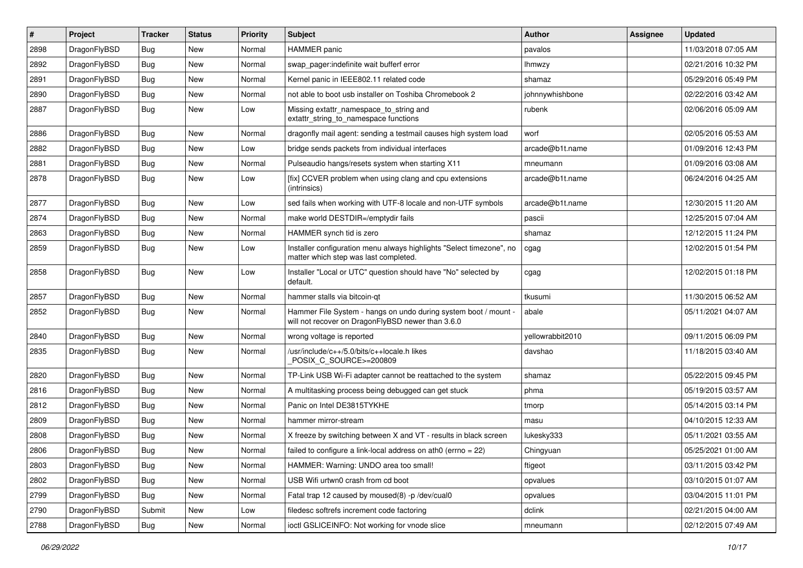| #    | Project      | <b>Tracker</b> | <b>Status</b> | <b>Priority</b> | <b>Subject</b>                                                                                                       | Author           | Assignee | <b>Updated</b>      |
|------|--------------|----------------|---------------|-----------------|----------------------------------------------------------------------------------------------------------------------|------------------|----------|---------------------|
| 2898 | DragonFlyBSD | Bug            | <b>New</b>    | Normal          | <b>HAMMER</b> panic                                                                                                  | pavalos          |          | 11/03/2018 07:05 AM |
| 2892 | DragonFlyBSD | Bug            | <b>New</b>    | Normal          | swap_pager:indefinite wait bufferf error                                                                             | lhmwzy           |          | 02/21/2016 10:32 PM |
| 2891 | DragonFlyBSD | Bug            | New           | Normal          | Kernel panic in IEEE802.11 related code                                                                              | shamaz           |          | 05/29/2016 05:49 PM |
| 2890 | DragonFlyBSD | Bug            | New           | Normal          | not able to boot usb installer on Toshiba Chromebook 2                                                               | johnnywhishbone  |          | 02/22/2016 03:42 AM |
| 2887 | DragonFlyBSD | Bug            | New           | Low             | Missing extattr_namespace_to_string and<br>extattr string to namespace functions                                     | rubenk           |          | 02/06/2016 05:09 AM |
| 2886 | DragonFlyBSD | Bug            | <b>New</b>    | Normal          | dragonfly mail agent: sending a testmail causes high system load                                                     | worf             |          | 02/05/2016 05:53 AM |
| 2882 | DragonFlyBSD | Bug            | New           | Low             | bridge sends packets from individual interfaces                                                                      | arcade@b1t.name  |          | 01/09/2016 12:43 PM |
| 2881 | DragonFlyBSD | Bug            | New           | Normal          | Pulseaudio hangs/resets system when starting X11                                                                     | mneumann         |          | 01/09/2016 03:08 AM |
| 2878 | DragonFlyBSD | Bug            | <b>New</b>    | Low             | [fix] CCVER problem when using clang and cpu extensions<br>(intrinsics)                                              | arcade@b1t.name  |          | 06/24/2016 04:25 AM |
| 2877 | DragonFlyBSD | Bug            | <b>New</b>    | Low             | sed fails when working with UTF-8 locale and non-UTF symbols                                                         | arcade@b1t.name  |          | 12/30/2015 11:20 AM |
| 2874 | DragonFlyBSD | Bug            | New           | Normal          | make world DESTDIR=/emptydir fails                                                                                   | pascii           |          | 12/25/2015 07:04 AM |
| 2863 | DragonFlyBSD | Bug            | New           | Normal          | HAMMER synch tid is zero                                                                                             | shamaz           |          | 12/12/2015 11:24 PM |
| 2859 | DragonFlyBSD | <b>Bug</b>     | New           | Low             | Installer configuration menu always highlights "Select timezone", no<br>matter which step was last completed.        | cgag             |          | 12/02/2015 01:54 PM |
| 2858 | DragonFlyBSD | Bug            | New           | Low             | Installer "Local or UTC" question should have "No" selected by<br>default.                                           | cgag             |          | 12/02/2015 01:18 PM |
| 2857 | DragonFlyBSD | Bug            | <b>New</b>    | Normal          | hammer stalls via bitcoin-qt                                                                                         | tkusumi          |          | 11/30/2015 06:52 AM |
| 2852 | DragonFlyBSD | Bug            | <b>New</b>    | Normal          | Hammer File System - hangs on undo during system boot / mount -<br>will not recover on DragonFlyBSD newer than 3.6.0 | abale            |          | 05/11/2021 04:07 AM |
| 2840 | DragonFlyBSD | Bug            | New           | Normal          | wrong voltage is reported                                                                                            | yellowrabbit2010 |          | 09/11/2015 06:09 PM |
| 2835 | DragonFlyBSD | Bug            | New           | Normal          | /usr/include/c++/5.0/bits/c++locale.h likes<br>POSIX_C_SOURCE>=200809                                                | davshao          |          | 11/18/2015 03:40 AM |
| 2820 | DragonFlyBSD | Bug            | <b>New</b>    | Normal          | TP-Link USB Wi-Fi adapter cannot be reattached to the system                                                         | shamaz           |          | 05/22/2015 09:45 PM |
| 2816 | DragonFlyBSD | Bug            | <b>New</b>    | Normal          | A multitasking process being debugged can get stuck                                                                  | phma             |          | 05/19/2015 03:57 AM |
| 2812 | DragonFlyBSD | Bug            | <b>New</b>    | Normal          | Panic on Intel DE3815TYKHE                                                                                           | tmorp            |          | 05/14/2015 03:14 PM |
| 2809 | DragonFlyBSD | Bug            | <b>New</b>    | Normal          | hammer mirror-stream                                                                                                 | masu             |          | 04/10/2015 12:33 AM |
| 2808 | DragonFlyBSD | Bug            | New           | Normal          | X freeze by switching between X and VT - results in black screen                                                     | lukesky333       |          | 05/11/2021 03:55 AM |
| 2806 | DragonFlyBSD | Bug            | <b>New</b>    | Normal          | failed to configure a link-local address on ath $0$ (errno = 22)                                                     | Chingyuan        |          | 05/25/2021 01:00 AM |
| 2803 | DragonFlyBSD | <b>Bug</b>     | New           | Normal          | HAMMER: Warning: UNDO area too small!                                                                                | ftigeot          |          | 03/11/2015 03:42 PM |
| 2802 | DragonFlyBSD | <b>Bug</b>     | New           | Normal          | USB Wifi urtwn0 crash from cd boot                                                                                   | opvalues         |          | 03/10/2015 01:07 AM |
| 2799 | DragonFlyBSD | <b>Bug</b>     | <b>New</b>    | Normal          | Fatal trap 12 caused by moused(8) -p /dev/cual0                                                                      | opvalues         |          | 03/04/2015 11:01 PM |
| 2790 | DragonFlyBSD | Submit         | <b>New</b>    | Low             | filedesc softrefs increment code factoring                                                                           | dclink           |          | 02/21/2015 04:00 AM |
| 2788 | DragonFlyBSD | Bug            | New           | Normal          | ioctl GSLICEINFO: Not working for vnode slice                                                                        | mneumann         |          | 02/12/2015 07:49 AM |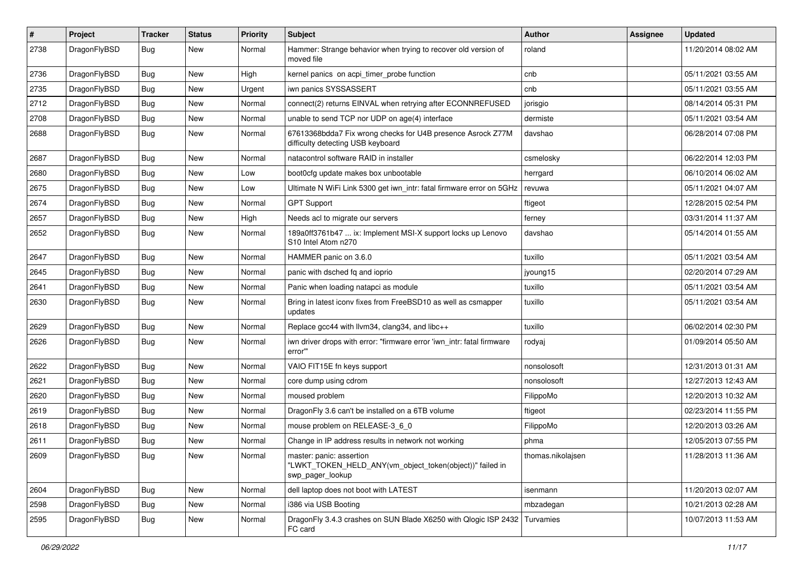| $\pmb{\#}$ | Project      | <b>Tracker</b> | <b>Status</b> | <b>Priority</b> | Subject                                                                                                  | Author            | Assignee | <b>Updated</b>      |
|------------|--------------|----------------|---------------|-----------------|----------------------------------------------------------------------------------------------------------|-------------------|----------|---------------------|
| 2738       | DragonFlyBSD | Bug            | New           | Normal          | Hammer: Strange behavior when trying to recover old version of<br>moved file                             | roland            |          | 11/20/2014 08:02 AM |
| 2736       | DragonFlyBSD | <b>Bug</b>     | <b>New</b>    | High            | kernel panics on acpi_timer_probe function                                                               | cnb               |          | 05/11/2021 03:55 AM |
| 2735       | DragonFlyBSD | Bug            | <b>New</b>    | Urgent          | iwn panics SYSSASSERT                                                                                    | cnb               |          | 05/11/2021 03:55 AM |
| 2712       | DragonFlyBSD | <b>Bug</b>     | <b>New</b>    | Normal          | connect(2) returns EINVAL when retrying after ECONNREFUSED                                               | jorisgio          |          | 08/14/2014 05:31 PM |
| 2708       | DragonFlyBSD | <b>Bug</b>     | <b>New</b>    | Normal          | unable to send TCP nor UDP on age(4) interface                                                           | dermiste          |          | 05/11/2021 03:54 AM |
| 2688       | DragonFlyBSD | Bug            | New           | Normal          | 67613368bdda7 Fix wrong checks for U4B presence Asrock Z77M<br>difficulty detecting USB keyboard         | davshao           |          | 06/28/2014 07:08 PM |
| 2687       | DragonFlyBSD | Bug            | <b>New</b>    | Normal          | natacontrol software RAID in installer                                                                   | csmelosky         |          | 06/22/2014 12:03 PM |
| 2680       | DragonFlyBSD | Bug            | <b>New</b>    | Low             | boot0cfg update makes box unbootable                                                                     | herrgard          |          | 06/10/2014 06:02 AM |
| 2675       | DragonFlyBSD | Bug            | New           | Low             | Ultimate N WiFi Link 5300 get iwn_intr: fatal firmware error on 5GHz                                     | revuwa            |          | 05/11/2021 04:07 AM |
| 2674       | DragonFlyBSD | Bug            | New           | Normal          | <b>GPT Support</b>                                                                                       | ftigeot           |          | 12/28/2015 02:54 PM |
| 2657       | DragonFlyBSD | <b>Bug</b>     | New           | High            | Needs acl to migrate our servers                                                                         | ferney            |          | 03/31/2014 11:37 AM |
| 2652       | DragonFlyBSD | Bug            | <b>New</b>    | Normal          | 189a0ff3761b47  ix: Implement MSI-X support locks up Lenovo<br>S10 Intel Atom n270                       | davshao           |          | 05/14/2014 01:55 AM |
| 2647       | DragonFlyBSD | <b>Bug</b>     | <b>New</b>    | Normal          | HAMMER panic on 3.6.0                                                                                    | tuxillo           |          | 05/11/2021 03:54 AM |
| 2645       | DragonFlyBSD | Bug            | New           | Normal          | panic with dsched fq and ioprio                                                                          | jyoung15          |          | 02/20/2014 07:29 AM |
| 2641       | DragonFlyBSD | <b>Bug</b>     | <b>New</b>    | Normal          | Panic when loading natapci as module                                                                     | tuxillo           |          | 05/11/2021 03:54 AM |
| 2630       | DragonFlyBSD | <b>Bug</b>     | New           | Normal          | Bring in latest iconv fixes from FreeBSD10 as well as csmapper<br>updates                                | tuxillo           |          | 05/11/2021 03:54 AM |
| 2629       | DragonFlyBSD | Bug            | <b>New</b>    | Normal          | Replace gcc44 with llvm34, clang34, and libc++                                                           | tuxillo           |          | 06/02/2014 02:30 PM |
| 2626       | DragonFlyBSD | Bug            | New           | Normal          | iwn driver drops with error: "firmware error 'iwn intr: fatal firmware<br>error"                         | rodyaj            |          | 01/09/2014 05:50 AM |
| 2622       | DragonFlyBSD | <b>Bug</b>     | <b>New</b>    | Normal          | VAIO FIT15E fn keys support                                                                              | nonsolosoft       |          | 12/31/2013 01:31 AM |
| 2621       | DragonFlyBSD | Bug            | <b>New</b>    | Normal          | core dump using cdrom                                                                                    | nonsolosoft       |          | 12/27/2013 12:43 AM |
| 2620       | DragonFlyBSD | Bug            | <b>New</b>    | Normal          | moused problem                                                                                           | FilippoMo         |          | 12/20/2013 10:32 AM |
| 2619       | DragonFlyBSD | Bug            | New           | Normal          | Dragon Fly 3.6 can't be installed on a 6TB volume                                                        | ftigeot           |          | 02/23/2014 11:55 PM |
| 2618       | DragonFlyBSD | Bug            | New           | Normal          | mouse problem on RELEASE-3_6_0                                                                           | FilippoMo         |          | 12/20/2013 03:26 AM |
| 2611       | DragonFlyBSD | Bug            | New           | Normal          | Change in IP address results in network not working                                                      | phma              |          | 12/05/2013 07:55 PM |
| 2609       | DragonFlyBSD | <b>Bug</b>     | New           | Normal          | master: panic: assertion<br>"LWKT_TOKEN_HELD_ANY(vm_object_token(object))" failed in<br>swp pager lookup | thomas.nikolajsen |          | 11/28/2013 11:36 AM |
| 2604       | DragonFlyBSD | Bug            | New           | Normal          | dell laptop does not boot with LATEST                                                                    | isenmann          |          | 11/20/2013 02:07 AM |
| 2598       | DragonFlyBSD | Bug            | New           | Normal          | i386 via USB Booting                                                                                     | mbzadegan         |          | 10/21/2013 02:28 AM |
| 2595       | DragonFlyBSD | <b>Bug</b>     | New           | Normal          | DragonFly 3.4.3 crashes on SUN Blade X6250 with Qlogic ISP 2432<br>FC card                               | Turvamies         |          | 10/07/2013 11:53 AM |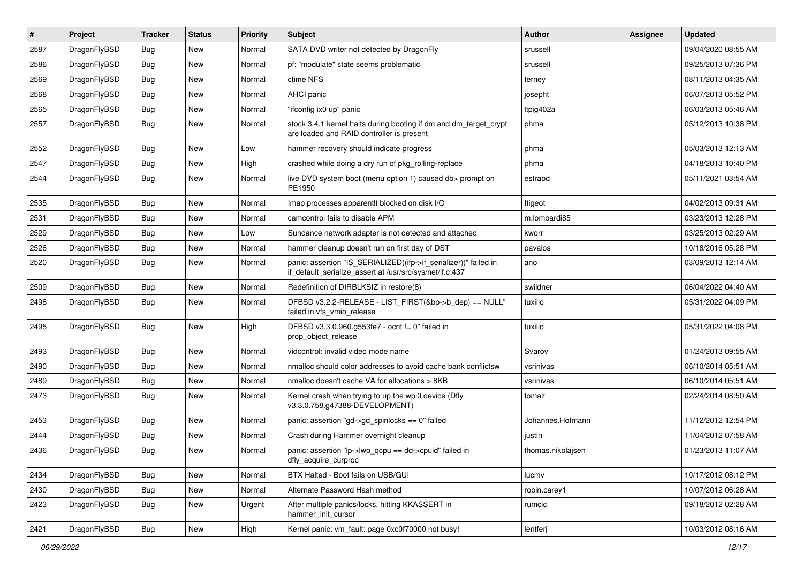| $\sharp$ | Project      | <b>Tracker</b> | <b>Status</b> | <b>Priority</b> | <b>Subject</b>                                                                                                               | Author            | Assignee | <b>Updated</b>      |
|----------|--------------|----------------|---------------|-----------------|------------------------------------------------------------------------------------------------------------------------------|-------------------|----------|---------------------|
| 2587     | DragonFlyBSD | <b>Bug</b>     | New           | Normal          | SATA DVD writer not detected by DragonFly                                                                                    | srussell          |          | 09/04/2020 08:55 AM |
| 2586     | DragonFlyBSD | Bug            | <b>New</b>    | Normal          | pf: "modulate" state seems problematic                                                                                       | srussell          |          | 09/25/2013 07:36 PM |
| 2569     | DragonFlyBSD | <b>Bug</b>     | New           | Normal          | ctime NFS                                                                                                                    | ferney            |          | 08/11/2013 04:35 AM |
| 2568     | DragonFlyBSD | <b>Bug</b>     | New           | Normal          | AHCI panic                                                                                                                   | josepht           |          | 06/07/2013 05:52 PM |
| 2565     | DragonFlyBSD | Bug            | <b>New</b>    | Normal          | "ifconfig ix0 up" panic                                                                                                      | Itpig402a         |          | 06/03/2013 05:46 AM |
| 2557     | DragonFlyBSD | Bug            | <b>New</b>    | Normal          | stock 3.4.1 kernel halts during booting if dm and dm_target_crypt<br>are loaded and RAID controller is present               | phma              |          | 05/12/2013 10:38 PM |
| 2552     | DragonFlyBSD | Bug            | <b>New</b>    | Low             | hammer recovery should indicate progress                                                                                     | phma              |          | 05/03/2013 12:13 AM |
| 2547     | DragonFlyBSD | <b>Bug</b>     | New           | High            | crashed while doing a dry run of pkg_rolling-replace                                                                         | phma              |          | 04/18/2013 10:40 PM |
| 2544     | DragonFlyBSD | <b>Bug</b>     | <b>New</b>    | Normal          | live DVD system boot (menu option 1) caused db> prompt on<br>PE1950                                                          | estrabd           |          | 05/11/2021 03:54 AM |
| 2535     | DragonFlyBSD | Bug            | <b>New</b>    | Normal          | Imap processes apparentlt blocked on disk I/O                                                                                | ftigeot           |          | 04/02/2013 09:31 AM |
| 2531     | DragonFlyBSD | Bug            | <b>New</b>    | Normal          | camcontrol fails to disable APM                                                                                              | m.lombardi85      |          | 03/23/2013 12:28 PM |
| 2529     | DragonFlyBSD | <b>Bug</b>     | New           | Low             | Sundance network adapter is not detected and attached                                                                        | kworr             |          | 03/25/2013 02:29 AM |
| 2526     | DragonFlyBSD | Bug            | New           | Normal          | hammer cleanup doesn't run on first day of DST                                                                               | pavalos           |          | 10/18/2016 05:28 PM |
| 2520     | DragonFlyBSD | Bug            | New           | Normal          | panic: assertion "IS_SERIALIZED((ifp->if_serializer))" failed in<br>if_default_serialize_assert at /usr/src/sys/net/if.c:437 | ano               |          | 03/09/2013 12:14 AM |
| 2509     | DragonFlyBSD | <b>Bug</b>     | New           | Normal          | Redefinition of DIRBLKSIZ in restore(8)                                                                                      | swildner          |          | 06/04/2022 04:40 AM |
| 2498     | DragonFlyBSD | Bug            | <b>New</b>    | Normal          | DFBSD v3.2.2-RELEASE - LIST FIRST(&bp->b dep) == NULL"<br>failed in vfs_vmio_release                                         | tuxillo           |          | 05/31/2022 04:09 PM |
| 2495     | DragonFlyBSD | <b>Bug</b>     | New           | High            | DFBSD v3.3.0.960.g553fe7 - ocnt != 0" failed in<br>prop object release                                                       | tuxillo           |          | 05/31/2022 04:08 PM |
| 2493     | DragonFlyBSD | Bug            | <b>New</b>    | Normal          | vidcontrol: invalid video mode name                                                                                          | Svarov            |          | 01/24/2013 09:55 AM |
| 2490     | DragonFlyBSD | Bug            | New           | Normal          | nmalloc should color addresses to avoid cache bank conflictsw                                                                | vsrinivas         |          | 06/10/2014 05:51 AM |
| 2489     | DragonFlyBSD | Bug            | <b>New</b>    | Normal          | nmalloc doesn't cache VA for allocations > 8KB                                                                               | vsrinivas         |          | 06/10/2014 05:51 AM |
| 2473     | DragonFlyBSD | Bug            | New           | Normal          | Kernel crash when trying to up the wpi0 device (Dfly<br>v3.3.0.758.g47388-DEVELOPMENT)                                       | tomaz             |          | 02/24/2014 08:50 AM |
| 2453     | DragonFlyBSD | Bug            | New           | Normal          | panic: assertion "gd->gd_spinlocks == 0" failed                                                                              | Johannes.Hofmann  |          | 11/12/2012 12:54 PM |
| 2444     | DragonFlyBSD | Bug            | New           | Normal          | Crash during Hammer overnight cleanup                                                                                        | justin            |          | 11/04/2012 07:58 AM |
| 2436     | DragonFlyBSD | Bug            | <b>New</b>    | Normal          | panic: assertion "lp->lwp qcpu == dd->cpuid" failed in<br>dfly_acquire_curproc                                               | thomas.nikolaisen |          | 01/23/2013 11:07 AM |
| 2434     | DragonFlyBSD | <b>Bug</b>     | <b>New</b>    | Normal          | BTX Halted - Boot fails on USB/GUI                                                                                           | lucmv             |          | 10/17/2012 08:12 PM |
| 2430     | DragonFlyBSD | Bug            | New           | Normal          | Alternate Password Hash method                                                                                               | robin.carey1      |          | 10/07/2012 06:28 AM |
| 2423     | DragonFlyBSD | <b>Bug</b>     | New           | Urgent          | After multiple panics/locks, hitting KKASSERT in<br>hammer_init_cursor                                                       | rumcic            |          | 09/18/2012 02:28 AM |
| 2421     | DragonFlyBSD | Bug            | New           | High            | Kernel panic: vm_fault: page 0xc0f70000 not busy!                                                                            | lentferj          |          | 10/03/2012 08:16 AM |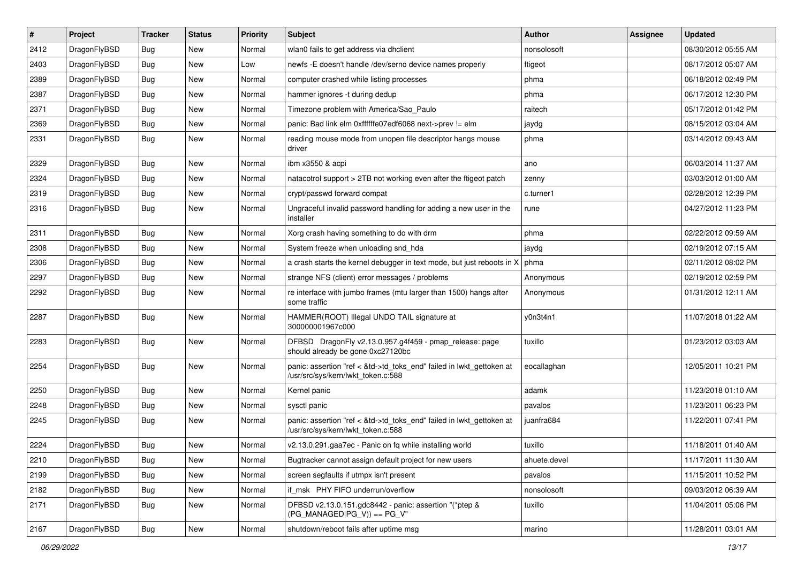| $\sharp$ | Project      | <b>Tracker</b> | <b>Status</b> | <b>Priority</b> | <b>Subject</b>                                                                                             | Author       | Assignee | <b>Updated</b>      |
|----------|--------------|----------------|---------------|-----------------|------------------------------------------------------------------------------------------------------------|--------------|----------|---------------------|
| 2412     | DragonFlyBSD | Bug            | New           | Normal          | wlan0 fails to get address via dhclient                                                                    | nonsolosoft  |          | 08/30/2012 05:55 AM |
| 2403     | DragonFlyBSD | Bug            | New           | Low             | newfs -E doesn't handle /dev/serno device names properly                                                   | ftigeot      |          | 08/17/2012 05:07 AM |
| 2389     | DragonFlyBSD | Bug            | New           | Normal          | computer crashed while listing processes                                                                   | phma         |          | 06/18/2012 02:49 PM |
| 2387     | DragonFlyBSD | Bug            | New           | Normal          | hammer ignores -t during dedup                                                                             | phma         |          | 06/17/2012 12:30 PM |
| 2371     | DragonFlyBSD | Bug            | <b>New</b>    | Normal          | Timezone problem with America/Sao_Paulo                                                                    | raitech      |          | 05/17/2012 01:42 PM |
| 2369     | DragonFlyBSD | Bug            | <b>New</b>    | Normal          | panic: Bad link elm 0xffffffe07edf6068 next->prev != elm                                                   | jaydg        |          | 08/15/2012 03:04 AM |
| 2331     | DragonFlyBSD | Bug            | New           | Normal          | reading mouse mode from unopen file descriptor hangs mouse<br>driver                                       | phma         |          | 03/14/2012 09:43 AM |
| 2329     | DragonFlyBSD | Bug            | <b>New</b>    | Normal          | ibm x3550 & acpi                                                                                           | ano          |          | 06/03/2014 11:37 AM |
| 2324     | DragonFlyBSD | Bug            | <b>New</b>    | Normal          | natacotrol support > 2TB not working even after the ftigeot patch                                          | zenny        |          | 03/03/2012 01:00 AM |
| 2319     | DragonFlyBSD | Bug            | New           | Normal          | crypt/passwd forward compat                                                                                | c.turner1    |          | 02/28/2012 12:39 PM |
| 2316     | DragonFlyBSD | Bug            | <b>New</b>    | Normal          | Ungraceful invalid password handling for adding a new user in the<br>installer                             | rune         |          | 04/27/2012 11:23 PM |
| 2311     | DragonFlyBSD | Bug            | New           | Normal          | Xorg crash having something to do with drm                                                                 | phma         |          | 02/22/2012 09:59 AM |
| 2308     | DragonFlyBSD | Bug            | New           | Normal          | System freeze when unloading snd_hda                                                                       | jaydg        |          | 02/19/2012 07:15 AM |
| 2306     | DragonFlyBSD | Bug            | <b>New</b>    | Normal          | a crash starts the kernel debugger in text mode, but just reboots in X                                     | phma         |          | 02/11/2012 08:02 PM |
| 2297     | DragonFlyBSD | Bug            | New           | Normal          | strange NFS (client) error messages / problems                                                             | Anonymous    |          | 02/19/2012 02:59 PM |
| 2292     | DragonFlyBSD | Bug            | New           | Normal          | re interface with jumbo frames (mtu larger than 1500) hangs after<br>some traffic                          | Anonymous    |          | 01/31/2012 12:11 AM |
| 2287     | DragonFlyBSD | Bug            | <b>New</b>    | Normal          | HAMMER(ROOT) Illegal UNDO TAIL signature at<br>300000001967c000                                            | y0n3t4n1     |          | 11/07/2018 01:22 AM |
| 2283     | DragonFlyBSD | Bug            | New           | Normal          | DFBSD DragonFly v2.13.0.957.g4f459 - pmap_release: page<br>should already be gone 0xc27120bc               | tuxillo      |          | 01/23/2012 03:03 AM |
| 2254     | DragonFlyBSD | Bug            | New           | Normal          | panic: assertion "ref < &td->td_toks_end" failed in lwkt_gettoken at<br>/usr/src/sys/kern/lwkt_token.c:588 | eocallaghan  |          | 12/05/2011 10:21 PM |
| 2250     | DragonFlyBSD | <b>Bug</b>     | New           | Normal          | Kernel panic                                                                                               | adamk        |          | 11/23/2018 01:10 AM |
| 2248     | DragonFlyBSD | <b>Bug</b>     | <b>New</b>    | Normal          | sysctl panic                                                                                               | pavalos      |          | 11/23/2011 06:23 PM |
| 2245     | DragonFlyBSD | <b>Bug</b>     | New           | Normal          | panic: assertion "ref < &td->td_toks_end" failed in lwkt_gettoken at<br>/usr/src/sys/kern/lwkt_token.c:588 | juanfra684   |          | 11/22/2011 07:41 PM |
| 2224     | DragonFlyBSD | <b>Bug</b>     | <b>New</b>    | Normal          | v2.13.0.291.gaa7ec - Panic on fq while installing world                                                    | tuxillo      |          | 11/18/2011 01:40 AM |
| 2210     | DragonFlyBSD | <b>Bug</b>     | New           | Normal          | Bugtracker cannot assign default project for new users                                                     | ahuete.devel |          | 11/17/2011 11:30 AM |
| 2199     | DragonFlyBSD | <b>Bug</b>     | New           | Normal          | screen segfaults if utmpx isn't present                                                                    | pavalos      |          | 11/15/2011 10:52 PM |
| 2182     | DragonFlyBSD | <b>Bug</b>     | New           | Normal          | if_msk PHY FIFO underrun/overflow                                                                          | nonsolosoft  |          | 09/03/2012 06:39 AM |
| 2171     | DragonFlyBSD | <b>Bug</b>     | New           | Normal          | DFBSD v2.13.0.151.gdc8442 - panic: assertion "(*ptep &<br>$(PG MANAGED PG V)) == PG V"$                    | tuxillo      |          | 11/04/2011 05:06 PM |
| 2167     | DragonFlyBSD | <b>Bug</b>     | New           | Normal          | shutdown/reboot fails after uptime msg                                                                     | marino       |          | 11/28/2011 03:01 AM |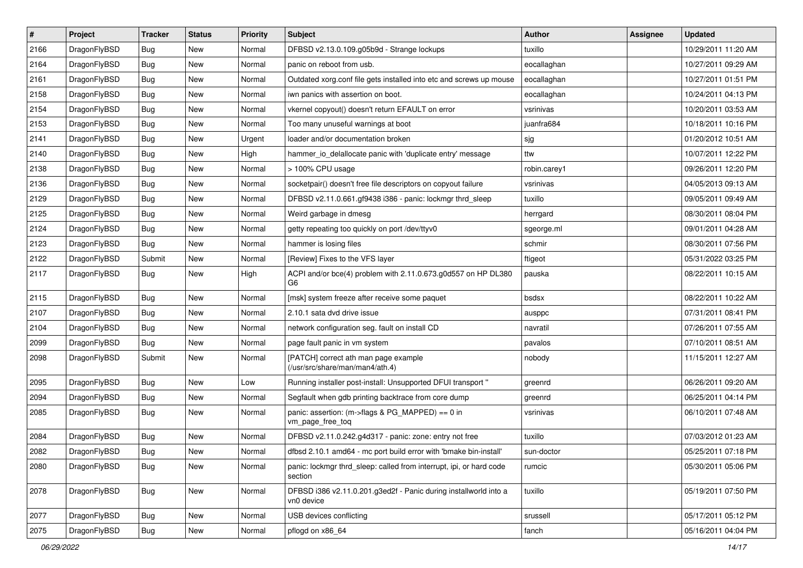| $\sharp$ | Project      | <b>Tracker</b> | <b>Status</b> | <b>Priority</b> | <b>Subject</b>                                                                 | Author       | Assignee | <b>Updated</b>      |
|----------|--------------|----------------|---------------|-----------------|--------------------------------------------------------------------------------|--------------|----------|---------------------|
| 2166     | DragonFlyBSD | <b>Bug</b>     | New           | Normal          | DFBSD v2.13.0.109.g05b9d - Strange lockups                                     | tuxillo      |          | 10/29/2011 11:20 AM |
| 2164     | DragonFlyBSD | <b>Bug</b>     | <b>New</b>    | Normal          | panic on reboot from usb.                                                      | eocallaghan  |          | 10/27/2011 09:29 AM |
| 2161     | DragonFlyBSD | Bug            | New           | Normal          | Outdated xorg.conf file gets installed into etc and screws up mouse            | eocallaghan  |          | 10/27/2011 01:51 PM |
| 2158     | DragonFlyBSD | Bug            | <b>New</b>    | Normal          | iwn panics with assertion on boot.                                             | eocallaghan  |          | 10/24/2011 04:13 PM |
| 2154     | DragonFlyBSD | <b>Bug</b>     | New           | Normal          | vkernel copyout() doesn't return EFAULT on error                               | vsrinivas    |          | 10/20/2011 03:53 AM |
| 2153     | DragonFlyBSD | <b>Bug</b>     | <b>New</b>    | Normal          | Too many unuseful warnings at boot                                             | juanfra684   |          | 10/18/2011 10:16 PM |
| 2141     | DragonFlyBSD | <b>Bug</b>     | New           | Urgent          | loader and/or documentation broken                                             | sjg          |          | 01/20/2012 10:51 AM |
| 2140     | DragonFlyBSD | Bug            | <b>New</b>    | High            | hammer_io_delallocate panic with 'duplicate entry' message                     | ttw          |          | 10/07/2011 12:22 PM |
| 2138     | DragonFlyBSD | Bug            | New           | Normal          | > 100% CPU usage                                                               | robin.carey1 |          | 09/26/2011 12:20 PM |
| 2136     | DragonFlyBSD | <b>Bug</b>     | New           | Normal          | socketpair() doesn't free file descriptors on copyout failure                  | vsrinivas    |          | 04/05/2013 09:13 AM |
| 2129     | DragonFlyBSD | <b>Bug</b>     | New           | Normal          | DFBSD v2.11.0.661.gf9438 i386 - panic: lockmgr thrd_sleep                      | tuxillo      |          | 09/05/2011 09:49 AM |
| 2125     | DragonFlyBSD | <b>Bug</b>     | <b>New</b>    | Normal          | Weird garbage in dmesg                                                         | herrgard     |          | 08/30/2011 08:04 PM |
| 2124     | DragonFlyBSD | Bug            | <b>New</b>    | Normal          | getty repeating too quickly on port /dev/ttyv0                                 | sgeorge.ml   |          | 09/01/2011 04:28 AM |
| 2123     | DragonFlyBSD | <b>Bug</b>     | New           | Normal          | hammer is losing files                                                         | schmir       |          | 08/30/2011 07:56 PM |
| 2122     | DragonFlyBSD | Submit         | <b>New</b>    | Normal          | [Review] Fixes to the VFS layer                                                | ftigeot      |          | 05/31/2022 03:25 PM |
| 2117     | DragonFlyBSD | Bug            | New           | High            | ACPI and/or bce(4) problem with 2.11.0.673.g0d557 on HP DL380<br>G6            | pauska       |          | 08/22/2011 10:15 AM |
| 2115     | DragonFlyBSD | <b>Bug</b>     | <b>New</b>    | Normal          | [msk] system freeze after receive some paquet                                  | bsdsx        |          | 08/22/2011 10:22 AM |
| 2107     | DragonFlyBSD | <b>Bug</b>     | <b>New</b>    | Normal          | 2.10.1 sata dvd drive issue                                                    | ausppc       |          | 07/31/2011 08:41 PM |
| 2104     | DragonFlyBSD | <b>Bug</b>     | New           | Normal          | network configuration seg. fault on install CD                                 | navratil     |          | 07/26/2011 07:55 AM |
| 2099     | DragonFlyBSD | <b>Bug</b>     | New           | Normal          | page fault panic in vm system                                                  | pavalos      |          | 07/10/2011 08:51 AM |
| 2098     | DragonFlyBSD | Submit         | New           | Normal          | [PATCH] correct ath man page example<br>(/usr/src/share/man/man4/ath.4)        | nobody       |          | 11/15/2011 12:27 AM |
| 2095     | DragonFlyBSD | Bug            | <b>New</b>    | Low             | Running installer post-install: Unsupported DFUI transport "                   | greenrd      |          | 06/26/2011 09:20 AM |
| 2094     | DragonFlyBSD | <b>Bug</b>     | <b>New</b>    | Normal          | Segfault when gdb printing backtrace from core dump                            | greenrd      |          | 06/25/2011 04:14 PM |
| 2085     | DragonFlyBSD | Bug            | New           | Normal          | panic: assertion: (m->flags & PG_MAPPED) == 0 in<br>vm_page_free_toq           | vsrinivas    |          | 06/10/2011 07:48 AM |
| 2084     | DragonFlyBSD | Bug            | New           | Normal          | DFBSD v2.11.0.242.g4d317 - panic: zone: entry not free                         | tuxillo      |          | 07/03/2012 01:23 AM |
| 2082     | DragonFlyBSD | Bug            | <b>New</b>    | Normal          | dfbsd 2.10.1 amd64 - mc port build error with 'bmake bin-install'              | sun-doctor   |          | 05/25/2011 07:18 PM |
| 2080     | DragonFlyBSD | Bug            | New           | Normal          | panic: lockmgr thrd_sleep: called from interrupt, ipi, or hard code<br>section | rumcic       |          | 05/30/2011 05:06 PM |
| 2078     | DragonFlyBSD | <b>Bug</b>     | <b>New</b>    | Normal          | DFBSD i386 v2.11.0.201.g3ed2f - Panic during installworld into a<br>vn0 device | tuxillo      |          | 05/19/2011 07:50 PM |
| 2077     | DragonFlyBSD | Bug            | <b>New</b>    | Normal          | USB devices conflicting                                                        | srussell     |          | 05/17/2011 05:12 PM |
| 2075     | DragonFlyBSD | <b>Bug</b>     | New           | Normal          | pflogd on x86_64                                                               | fanch        |          | 05/16/2011 04:04 PM |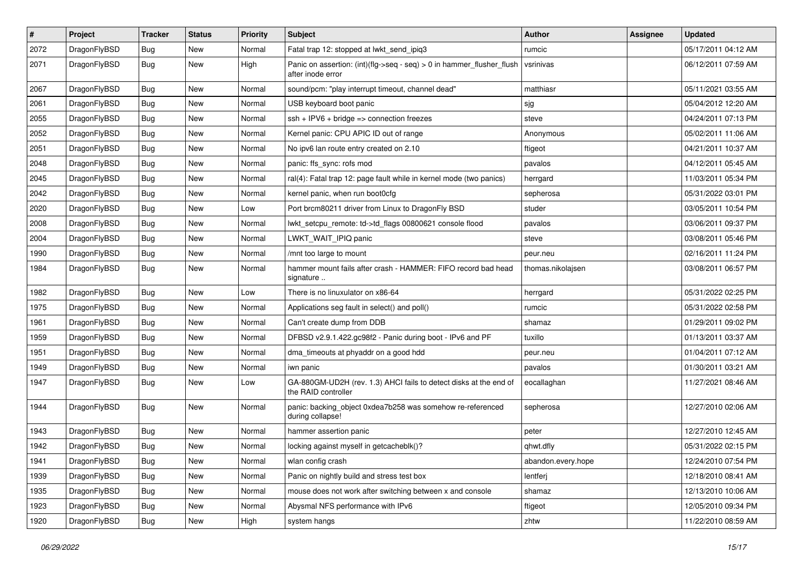| $\sharp$ | Project      | <b>Tracker</b> | <b>Status</b> | <b>Priority</b> | Subject                                                                                    | Author             | Assignee | <b>Updated</b>      |
|----------|--------------|----------------|---------------|-----------------|--------------------------------------------------------------------------------------------|--------------------|----------|---------------------|
| 2072     | DragonFlyBSD | Bug            | New           | Normal          | Fatal trap 12: stopped at lwkt_send_ipiq3                                                  | rumcic             |          | 05/17/2011 04:12 AM |
| 2071     | DragonFlyBSD | <b>Bug</b>     | New           | High            | Panic on assertion: (int)(flg->seq - seq) > 0 in hammer_flusher_flush<br>after inode error | vsrinivas          |          | 06/12/2011 07:59 AM |
| 2067     | DragonFlyBSD | Bug            | <b>New</b>    | Normal          | sound/pcm: "play interrupt timeout, channel dead"                                          | matthiasr          |          | 05/11/2021 03:55 AM |
| 2061     | DragonFlyBSD | Bug            | New           | Normal          | USB keyboard boot panic                                                                    | sjg                |          | 05/04/2012 12:20 AM |
| 2055     | DragonFlyBSD | Bug            | <b>New</b>    | Normal          | $ssh + IPV6 + bridge \Rightarrow connection freezes$                                       | steve              |          | 04/24/2011 07:13 PM |
| 2052     | DragonFlyBSD | Bug            | <b>New</b>    | Normal          | Kernel panic: CPU APIC ID out of range                                                     | Anonymous          |          | 05/02/2011 11:06 AM |
| 2051     | DragonFlyBSD | Bug            | <b>New</b>    | Normal          | No ipv6 lan route entry created on 2.10                                                    | ftigeot            |          | 04/21/2011 10:37 AM |
| 2048     | DragonFlyBSD | Bug            | New           | Normal          | panic: ffs_sync: rofs mod                                                                  | pavalos            |          | 04/12/2011 05:45 AM |
| 2045     | DragonFlyBSD | Bug            | <b>New</b>    | Normal          | ral(4): Fatal trap 12: page fault while in kernel mode (two panics)                        | herrgard           |          | 11/03/2011 05:34 PM |
| 2042     | DragonFlyBSD | Bug            | New           | Normal          | kernel panic, when run boot0cfg                                                            | sepherosa          |          | 05/31/2022 03:01 PM |
| 2020     | DragonFlyBSD | Bug            | New           | Low             | Port brcm80211 driver from Linux to DragonFly BSD                                          | studer             |          | 03/05/2011 10:54 PM |
| 2008     | DragonFlyBSD | Bug            | <b>New</b>    | Normal          | lwkt_setcpu_remote: td->td_flags 00800621 console flood                                    | pavalos            |          | 03/06/2011 09:37 PM |
| 2004     | DragonFlyBSD | Bug            | New           | Normal          | LWKT_WAIT_IPIQ panic                                                                       | steve              |          | 03/08/2011 05:46 PM |
| 1990     | DragonFlyBSD | Bug            | New           | Normal          | /mnt too large to mount                                                                    | peur.neu           |          | 02/16/2011 11:24 PM |
| 1984     | DragonFlyBSD | Bug            | New           | Normal          | hammer mount fails after crash - HAMMER: FIFO record bad head<br>signature                 | thomas.nikolajsen  |          | 03/08/2011 06:57 PM |
| 1982     | DragonFlyBSD | Bug            | <b>New</b>    | Low             | There is no linuxulator on x86-64                                                          | herrgard           |          | 05/31/2022 02:25 PM |
| 1975     | DragonFlyBSD | Bug            | <b>New</b>    | Normal          | Applications seg fault in select() and poll()                                              | rumcic             |          | 05/31/2022 02:58 PM |
| 1961     | DragonFlyBSD | Bug            | New           | Normal          | Can't create dump from DDB                                                                 | shamaz             |          | 01/29/2011 09:02 PM |
| 1959     | DragonFlyBSD | Bug            | <b>New</b>    | Normal          | DFBSD v2.9.1.422.gc98f2 - Panic during boot - IPv6 and PF                                  | tuxillo            |          | 01/13/2011 03:37 AM |
| 1951     | DragonFlyBSD | <b>Bug</b>     | New           | Normal          | dma_timeouts at phyaddr on a good hdd                                                      | peur.neu           |          | 01/04/2011 07:12 AM |
| 1949     | DragonFlyBSD | Bug            | New           | Normal          | iwn panic                                                                                  | pavalos            |          | 01/30/2011 03:21 AM |
| 1947     | DragonFlyBSD | <b>Bug</b>     | New           | Low             | GA-880GM-UD2H (rev. 1.3) AHCI fails to detect disks at the end of<br>the RAID controller   | eocallaghan        |          | 11/27/2021 08:46 AM |
| 1944     | DragonFlyBSD | <b>Bug</b>     | New           | Normal          | panic: backing_object 0xdea7b258 was somehow re-referenced<br>during collapse!             | sepherosa          |          | 12/27/2010 02:06 AM |
| 1943     | DragonFlyBSD | Bug            | New           | Normal          | hammer assertion panic                                                                     | peter              |          | 12/27/2010 12:45 AM |
| 1942     | DragonFlyBSD | Bug            | <b>New</b>    | Normal          | locking against myself in getcacheblk()?                                                   | qhwt.dfly          |          | 05/31/2022 02:15 PM |
| 1941     | DragonFlyBSD | <b>Bug</b>     | New           | Normal          | wlan config crash                                                                          | abandon.every.hope |          | 12/24/2010 07:54 PM |
| 1939     | DragonFlyBSD | <b>Bug</b>     | <b>New</b>    | Normal          | Panic on nightly build and stress test box                                                 | lentferj           |          | 12/18/2010 08:41 AM |
| 1935     | DragonFlyBSD | <b>Bug</b>     | New           | Normal          | mouse does not work after switching between x and console                                  | shamaz             |          | 12/13/2010 10:06 AM |
| 1923     | DragonFlyBSD | <b>Bug</b>     | New           | Normal          | Abysmal NFS performance with IPv6                                                          | ftigeot            |          | 12/05/2010 09:34 PM |
| 1920     | DragonFlyBSD | <b>Bug</b>     | New           | High            | system hangs                                                                               | zhtw               |          | 11/22/2010 08:59 AM |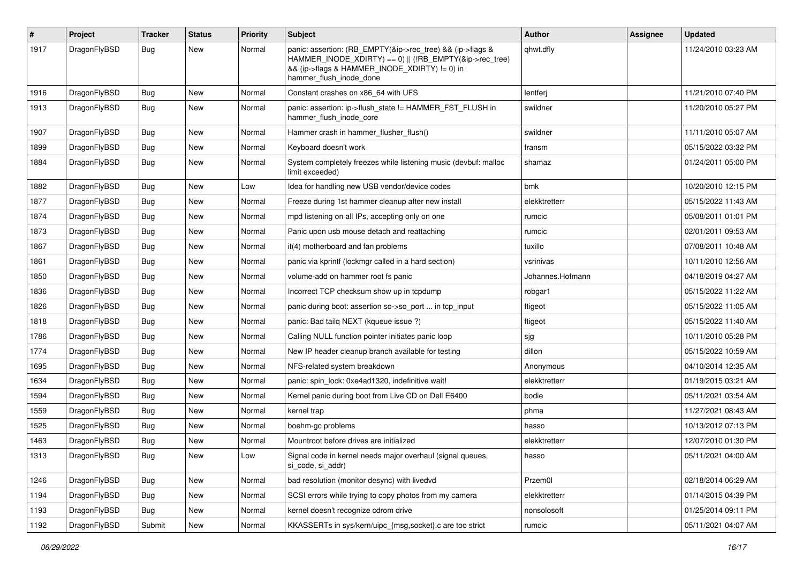| $\sharp$ | Project      | <b>Tracker</b> | <b>Status</b> | <b>Priority</b> | Subject                                                                                                                                                                                           | Author           | Assignee | <b>Updated</b>      |
|----------|--------------|----------------|---------------|-----------------|---------------------------------------------------------------------------------------------------------------------------------------------------------------------------------------------------|------------------|----------|---------------------|
| 1917     | DragonFlyBSD | Bug            | New           | Normal          | panic: assertion: (RB_EMPTY(&ip->rec_tree) && (ip->flags &<br>HAMMER_INODE_XDIRTY) == 0)    (!RB_EMPTY(&ip->rec_tree)<br>&& (ip->flags & HAMMER INODE XDIRTY) != 0) in<br>hammer_flush_inode_done | qhwt.dfly        |          | 11/24/2010 03:23 AM |
| 1916     | DragonFlyBSD | Bug            | <b>New</b>    | Normal          | Constant crashes on x86_64 with UFS                                                                                                                                                               | lentferj         |          | 11/21/2010 07:40 PM |
| 1913     | DragonFlyBSD | <b>Bug</b>     | New           | Normal          | panic: assertion: ip->flush_state != HAMMER_FST_FLUSH in<br>hammer_flush_inode_core                                                                                                               | swildner         |          | 11/20/2010 05:27 PM |
| 1907     | DragonFlyBSD | <b>Bug</b>     | <b>New</b>    | Normal          | Hammer crash in hammer flusher flush()                                                                                                                                                            | swildner         |          | 11/11/2010 05:07 AM |
| 1899     | DragonFlyBSD | <b>Bug</b>     | New           | Normal          | Keyboard doesn't work                                                                                                                                                                             | fransm           |          | 05/15/2022 03:32 PM |
| 1884     | DragonFlyBSD | <b>Bug</b>     | New           | Normal          | System completely freezes while listening music (devbuf: malloc<br>limit exceeded)                                                                                                                | shamaz           |          | 01/24/2011 05:00 PM |
| 1882     | DragonFlyBSD | <b>Bug</b>     | New           | Low             | Idea for handling new USB vendor/device codes                                                                                                                                                     | bmk              |          | 10/20/2010 12:15 PM |
| 1877     | DragonFlyBSD | Bug            | <b>New</b>    | Normal          | Freeze during 1st hammer cleanup after new install                                                                                                                                                | elekktretterr    |          | 05/15/2022 11:43 AM |
| 1874     | DragonFlyBSD | <b>Bug</b>     | New           | Normal          | mpd listening on all IPs, accepting only on one                                                                                                                                                   | rumcic           |          | 05/08/2011 01:01 PM |
| 1873     | DragonFlyBSD | <b>Bug</b>     | New           | Normal          | Panic upon usb mouse detach and reattaching                                                                                                                                                       | rumcic           |          | 02/01/2011 09:53 AM |
| 1867     | DragonFlyBSD | Bug            | <b>New</b>    | Normal          | it(4) motherboard and fan problems                                                                                                                                                                | tuxillo          |          | 07/08/2011 10:48 AM |
| 1861     | DragonFlyBSD | <b>Bug</b>     | New           | Normal          | panic via kprintf (lockmgr called in a hard section)                                                                                                                                              | vsrinivas        |          | 10/11/2010 12:56 AM |
| 1850     | DragonFlyBSD | <b>Bug</b>     | <b>New</b>    | Normal          | volume-add on hammer root fs panic                                                                                                                                                                | Johannes.Hofmann |          | 04/18/2019 04:27 AM |
| 1836     | DragonFlyBSD | <b>Bug</b>     | New           | Normal          | Incorrect TCP checksum show up in tcpdump                                                                                                                                                         | robgar1          |          | 05/15/2022 11:22 AM |
| 1826     | DragonFlyBSD | <b>Bug</b>     | New           | Normal          | panic during boot: assertion so->so_port  in tcp_input                                                                                                                                            | ftigeot          |          | 05/15/2022 11:05 AM |
| 1818     | DragonFlyBSD | Bug            | New           | Normal          | panic: Bad tailq NEXT (kqueue issue ?)                                                                                                                                                            | ftigeot          |          | 05/15/2022 11:40 AM |
| 1786     | DragonFlyBSD | <b>Bug</b>     | <b>New</b>    | Normal          | Calling NULL function pointer initiates panic loop                                                                                                                                                | sjg              |          | 10/11/2010 05:28 PM |
| 1774     | DragonFlyBSD | <b>Bug</b>     | <b>New</b>    | Normal          | New IP header cleanup branch available for testing                                                                                                                                                | dillon           |          | 05/15/2022 10:59 AM |
| 1695     | DragonFlyBSD | <b>Bug</b>     | New           | Normal          | NFS-related system breakdown                                                                                                                                                                      | Anonymous        |          | 04/10/2014 12:35 AM |
| 1634     | DragonFlyBSD | <b>Bug</b>     | New           | Normal          | panic: spin_lock: 0xe4ad1320, indefinitive wait!                                                                                                                                                  | elekktretterr    |          | 01/19/2015 03:21 AM |
| 1594     | DragonFlyBSD | <b>Bug</b>     | <b>New</b>    | Normal          | Kernel panic during boot from Live CD on Dell E6400                                                                                                                                               | bodie            |          | 05/11/2021 03:54 AM |
| 1559     | DragonFlyBSD | <b>Bug</b>     | New           | Normal          | kernel trap                                                                                                                                                                                       | phma             |          | 11/27/2021 08:43 AM |
| 1525     | DragonFlyBSD | <b>Bug</b>     | New           | Normal          | boehm-gc problems                                                                                                                                                                                 | hasso            |          | 10/13/2012 07:13 PM |
| 1463     | DragonFlyBSD | Bug            | New           | Normal          | Mountroot before drives are initialized                                                                                                                                                           | elekktretterr    |          | 12/07/2010 01:30 PM |
| 1313     | DragonFlyBSD | <b>Bug</b>     | New           | LOW             | Signal code in kernel needs major overhaul (signal queues,<br>si_code, si_addr)                                                                                                                   | hasso            |          | 05/11/2021 04:00 AM |
| 1246     | DragonFlyBSD | Bug            | New           | Normal          | bad resolution (monitor desync) with livedvd                                                                                                                                                      | Przem0l          |          | 02/18/2014 06:29 AM |
| 1194     | DragonFlyBSD | <b>Bug</b>     | New           | Normal          | SCSI errors while trying to copy photos from my camera                                                                                                                                            | elekktretterr    |          | 01/14/2015 04:39 PM |
| 1193     | DragonFlyBSD | Bug            | New           | Normal          | kernel doesn't recognize cdrom drive                                                                                                                                                              | nonsolosoft      |          | 01/25/2014 09:11 PM |
| 1192     | DragonFlyBSD | Submit         | New           | Normal          | KKASSERTs in sys/kern/uipc_{msg,socket}.c are too strict                                                                                                                                          | rumcic           |          | 05/11/2021 04:07 AM |